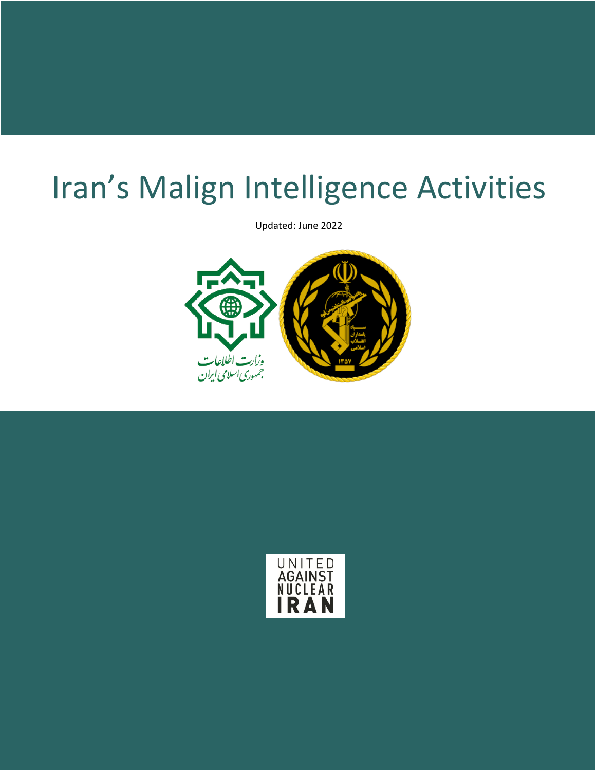# Iran's Malign Intelligence Activities

Updated: June 2022



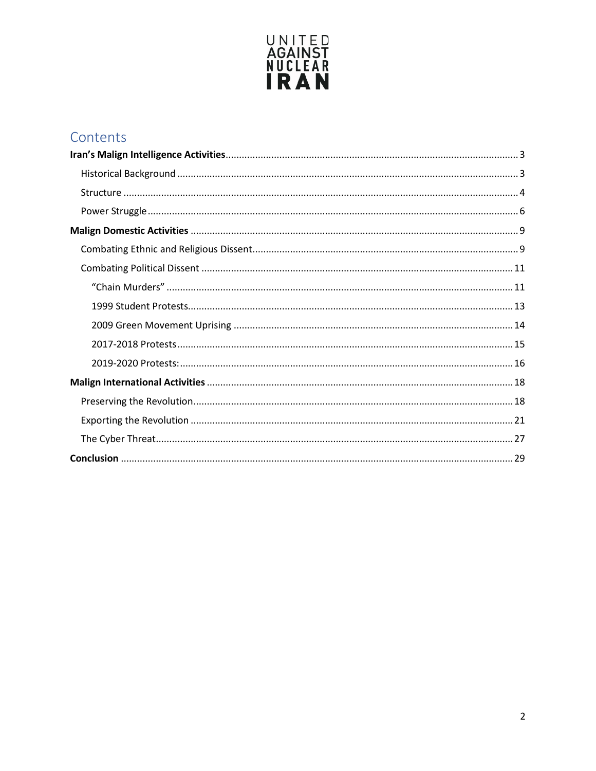

## Contents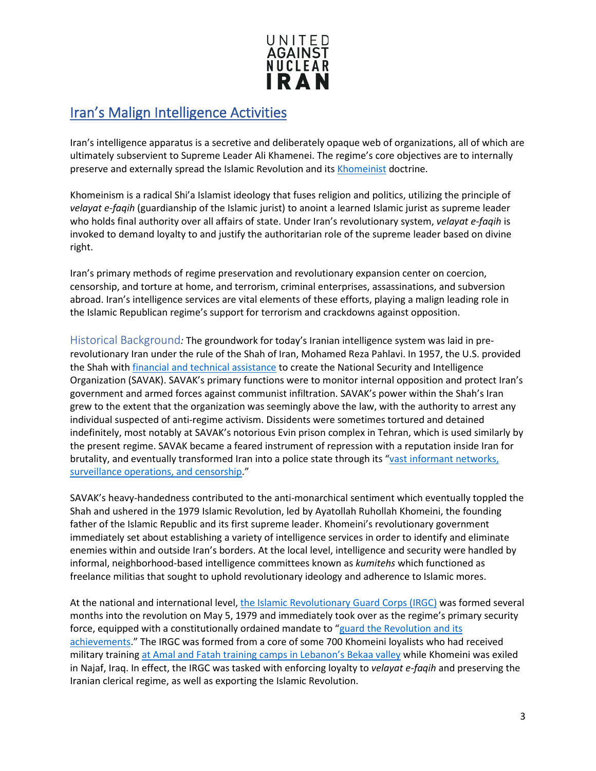

#### <span id="page-2-0"></span>Iran's Malign Intelligence Activities

Iran's intelligence apparatus is a secretive and deliberately opaque web of organizations, all of which are ultimately subservient to Supreme Leader Ali Khamenei. The regime's core objectives are to internally preserve and externally spread the Islamic Revolution and it[s Khomeinist](https://www.unitedagainstnucleariran.com/khomeinism) doctrine.

Khomeinism is a radical Shi'a Islamist ideology that fuses religion and politics, utilizing the principle of *velayat e-faqih* (guardianship of the Islamic jurist) to anoint a learned Islamic jurist as supreme leader who holds final authority over all affairs of state. Under Iran's revolutionary system, *velayat e-faqih* is invoked to demand loyalty to and justify the authoritarian role of the supreme leader based on divine right.

Iran's primary methods of regime preservation and revolutionary expansion center on coercion, censorship, and torture at home, and terrorism, criminal enterprises, assassinations, and subversion abroad. Iran's intelligence services are vital elements of these efforts, playing a malign leading role in the Islamic Republican regime's support for terrorism and crackdowns against opposition.

<span id="page-2-1"></span>Historical Background*:* The groundwork for today's Iranian intelligence system was laid in prerevolutionary Iran under the rule of the Shah of Iran, Mohamed Reza Pahlavi. In 1957, the U.S. provided the Shah with *financial and technical assistance* to create the National Security and Intelligence Organization (SAVAK). SAVAK's primary functions were to monitor internal opposition and protect Iran's government and armed forces against communist infiltration. SAVAK's power within the Shah's Iran grew to the extent that the organization was seemingly above the law, with the authority to arrest any individual suspected of anti-regime activism. Dissidents were sometimes tortured and detained indefinitely, most notably at SAVAK's notorious Evin prison complex in Tehran, which is used similarly by the present regime. SAVAK became a feared instrument of repression with a reputation inside Iran for brutality, and eventually transformed Iran into a police state through its ["vast informant networks,](https://worldview.stratfor.com/article/special-series-iranian-intelligence-and-regime-preservation)  [surveillance operations, and censorship.](https://worldview.stratfor.com/article/special-series-iranian-intelligence-and-regime-preservation)"

SAVAK's heavy-handedness contributed to the anti-monarchical sentiment which eventually toppled the Shah and ushered in the 1979 Islamic Revolution, led by Ayatollah Ruhollah Khomeini, the founding father of the Islamic Republic and its first supreme leader. Khomeini's revolutionary government immediately set about establishing a variety of intelligence services in order to identify and eliminate enemies within and outside Iran's borders. At the local level, intelligence and security were handled by informal, neighborhood-based intelligence committees known as *kumitehs* which functioned as freelance militias that sought to uphold revolutionary ideology and adherence to Islamic mores.

At the national and international level, [the Islamic Revolutionary Guard Corps \(IRGC\)](https://www.unitedagainstnucleariran.com/report/irgc-islamic-revolutionary-guard-corps) was formed several months into the revolution on May 5, 1979 and immediately took over as the regime's primary security force, equipped with a constitutionally ordained mandate to ["guard the Revolution and its](http://www.iranonline.com/iran/iran-info/government/constitution-9-3.html)  [achievements.](http://www.iranonline.com/iran/iran-info/government/constitution-9-3.html)" The IRGC was formed from a core of some 700 Khomeini loyalists who had received military trainin[g at Amal and Fatah training camps in Lebanon's Bekaa valley](https://worldview.stratfor.com/article/special-series-iranian-intelligence-and-regime-preservation) while Khomeini was exiled in Najaf, Iraq. In effect, the IRGC was tasked with enforcing loyalty to *velayat e-faqih* and preserving the Iranian clerical regime, as well as exporting the Islamic Revolution.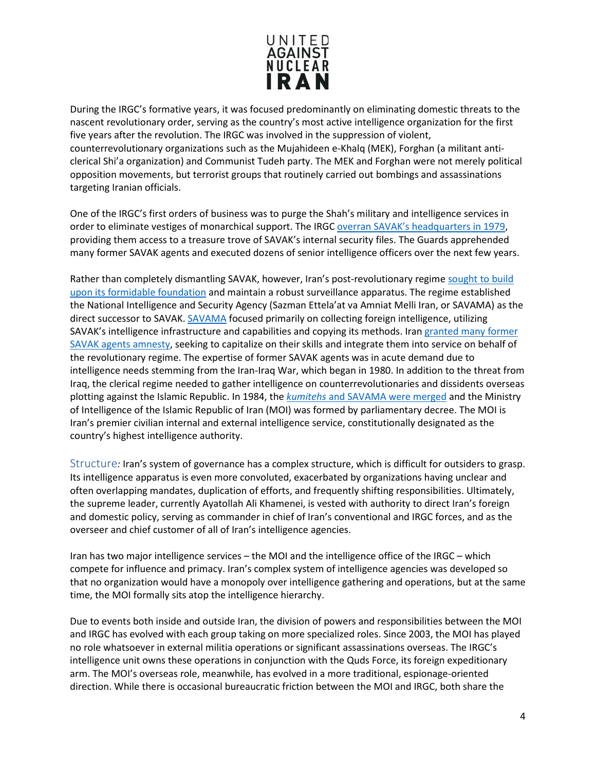

During the IRGC's formative years, it was focused predominantly on eliminating domestic threats to the nascent revolutionary order, serving as the country's most active intelligence organization for the first five years after the revolution. The IRGC was involved in the suppression of violent, counterrevolutionary organizations such as the Mujahideen e-Khalq (MEK), Forghan (a militant anticlerical Shi'a organization) and Communist Tudeh party. The MEK and Forghan were not merely political opposition movements, but terrorist groups that routinely carried out bombings and assassinations targeting Iranian officials.

One of the IRGC's first orders of business was to purge the Shah's military and intelligence services in order to eliminate vestiges of monarchical support. The IRG[C overran SAVAK's headquarters in 1979,](https://worldview.stratfor.com/article/special-series-iranian-intelligence-and-regime-preservation) providing them access to a treasure trove of SAVAK's internal security files. The Guards apprehended many former SAVAK agents and executed dozens of senior intelligence officers over the next few years.

Rather than completely dismantling SAVAK, however, Iran's post-revolutionary regime [sought to build](https://www.washingtonpost.com/archive/politics/1980/06/07/khomeini-is-reported-to-have-a-savak-of-his-own/dfc8e0a4-85b5-4a35-9723-c8a57caabae6/?utm_term=.6b01088b76b6)  [upon its formidable foundation](https://www.washingtonpost.com/archive/politics/1980/06/07/khomeini-is-reported-to-have-a-savak-of-his-own/dfc8e0a4-85b5-4a35-9723-c8a57caabae6/?utm_term=.6b01088b76b6) and maintain a robust surveillance apparatus. The regime established the National Intelligence and Security Agency (Sazman Ettela'at va Amniat Melli Iran, or SAVAMA) as the direct successor to SAVAK. [SAVAMA](https://fas.org/irp/world/iran/mois-loc.pdf) focused primarily on collecting foreign intelligence, utilizing SAVAK's intelligence infrastructure and capabilities and copying its methods. Iran [granted many former](https://fas.org/irp/world/iran/mois-loc.pdf)  [SAVAK agents amnesty,](https://fas.org/irp/world/iran/mois-loc.pdf) seeking to capitalize on their skills and integrate them into service on behalf of the revolutionary regime. The expertise of former SAVAK agents was in acute demand due to intelligence needs stemming from the Iran-Iraq War, which began in 1980. In addition to the threat from Iraq, the clerical regime needed to gather intelligence on counterrevolutionaries and dissidents overseas plotting against the Islamic Republic. In 1984, the *kumitehs* [and SAVAMA were merged](https://fas.org/irp/world/iran/mois-loc.pdf) and the Ministry of Intelligence of the Islamic Republic of Iran (MOI) was formed by parliamentary decree. The MOI is Iran's premier civilian internal and external intelligence service, constitutionally designated as the country's highest intelligence authority.

<span id="page-3-0"></span>Structure*:* Iran's system of governance has a complex structure, which is difficult for outsiders to grasp. Its intelligence apparatus is even more convoluted, exacerbated by organizations having unclear and often overlapping mandates, duplication of efforts, and frequently shifting responsibilities. Ultimately, the supreme leader, currently Ayatollah Ali Khamenei, is vested with authority to direct Iran's foreign and domestic policy, serving as commander in chief of Iran's conventional and IRGC forces, and as the overseer and chief customer of all of Iran's intelligence agencies.

Iran has two major intelligence services – the MOI and the intelligence office of the IRGC – which compete for influence and primacy. Iran's complex system of intelligence agencies was developed so that no organization would have a monopoly over intelligence gathering and operations, but at the same time, the MOI formally sits atop the intelligence hierarchy.

Due to events both inside and outside Iran, the division of powers and responsibilities between the MOI and IRGC has evolved with each group taking on more specialized roles. Since 2003, the MOI has played no role whatsoever in external militia operations or significant assassinations overseas. The IRGC's intelligence unit owns these operations in conjunction with the Quds Force, its foreign expeditionary arm. The MOI's overseas role, meanwhile, has evolved in a more traditional, espionage-oriented direction. While there is occasional bureaucratic friction between the MOI and IRGC, both share the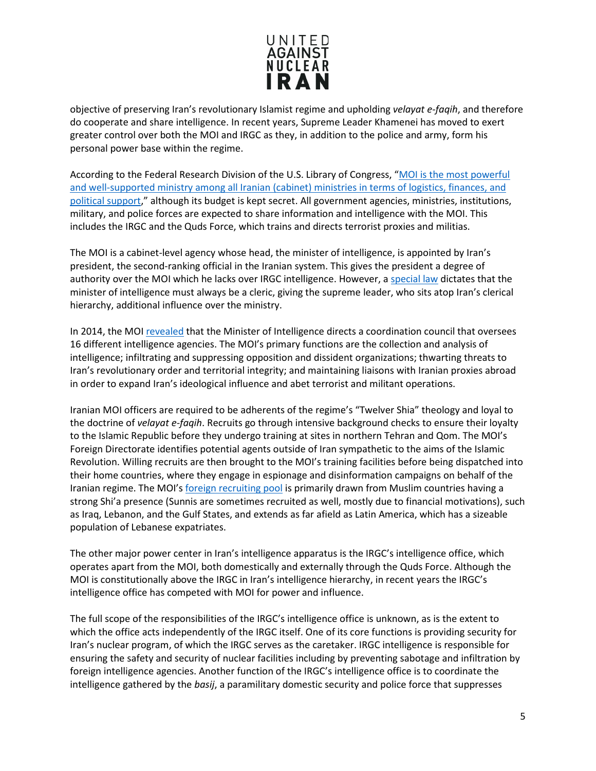

objective of preserving Iran's revolutionary Islamist regime and upholding *velayat e-faqih*, and therefore do cooperate and share intelligence. In recent years, Supreme Leader Khamenei has moved to exert greater control over both the MOI and IRGC as they, in addition to the police and army, form his personal power base within the regime.

According to the Federal Research Division of the U.S. Library of Congress, ["MOI is the most powerful](https://fas.org/irp/world/iran/mois-loc.pdf)  [and well-supported ministry among all Iranian \(cabinet\) ministries in terms of logistics, finances, and](https://fas.org/irp/world/iran/mois-loc.pdf)  [political support,](https://fas.org/irp/world/iran/mois-loc.pdf)" although its budget is kept secret. All government agencies, ministries, institutions, military, and police forces are expected to share information and intelligence with the MOI. This includes the IRGC and the Quds Force, which trains and directs terrorist proxies and militias.

The MOI is a cabinet-level agency whose head, the minister of intelligence, is appointed by Iran's president, the second-ranking official in the Iranian system. This gives the president a degree of authority over the MOI which he lacks over IRGC intelligence. However, a [special law](https://www.pbs.org/wgbh/pages/frontline/shows/tehran/inside/govt.html) dictates that the minister of intelligence must always be a cleric, giving the supreme leader, who sits atop Iran's clerical hierarchy, additional influence over the ministry.

In 2014, the MOI [revealed](http://www.sandiegouniontribune.com/sdut-iran-tips-hand-about-structure-of-secret-services-2014oct15-story.html) that the Minister of Intelligence directs a coordination council that oversees 16 different intelligence agencies. The MOI's primary functions are the collection and analysis of intelligence; infiltrating and suppressing opposition and dissident organizations; thwarting threats to Iran's revolutionary order and territorial integrity; and maintaining liaisons with Iranian proxies abroad in order to expand Iran's ideological influence and abet terrorist and militant operations.

Iranian MOI officers are required to be adherents of the regime's "Twelver Shia" theology and loyal to the doctrine of *velayat e-faqih*. Recruits go through intensive background checks to ensure their loyalty to the Islamic Republic before they undergo training at sites in northern Tehran and Qom. The MOI's Foreign Directorate identifies potential agents outside of Iran sympathetic to the aims of the Islamic Revolution. Willing recruits are then brought to the MOI's training facilities before being dispatched into their home countries, where they engage in espionage and disinformation campaigns on behalf of the Iranian regime. The MOI'[s foreign recruiting pool](https://fas.org/irp/world/iran/mois-loc.pdf) is primarily drawn from Muslim countries having a strong Shi'a presence (Sunnis are sometimes recruited as well, mostly due to financial motivations), such as Iraq, Lebanon, and the Gulf States, and extends as far afield as Latin America, which has a sizeable population of Lebanese expatriates.

The other major power center in Iran's intelligence apparatus is the IRGC's intelligence office, which operates apart from the MOI, both domestically and externally through the Quds Force. Although the MOI is constitutionally above the IRGC in Iran's intelligence hierarchy, in recent years the IRGC's intelligence office has competed with MOI for power and influence.

The full scope of the responsibilities of the IRGC's intelligence office is unknown, as is the extent to which the office acts independently of the IRGC itself. One of its core functions is providing security for Iran's nuclear program, of which the IRGC serves as the caretaker. IRGC intelligence is responsible for ensuring the safety and security of nuclear facilities including by preventing sabotage and infiltration by foreign intelligence agencies. Another function of the IRGC's intelligence office is to coordinate the intelligence gathered by the *basij*, a paramilitary domestic security and police force that suppresses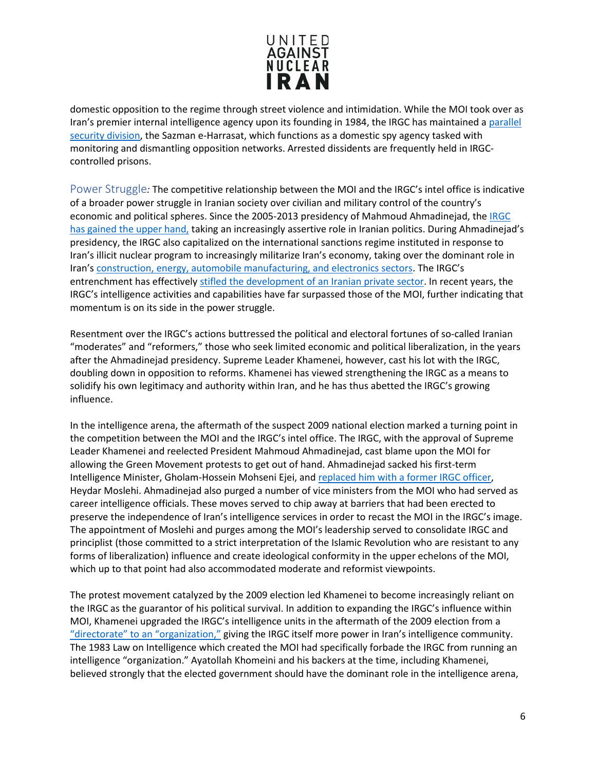

domestic opposition to the regime through street violence and intimidation. While the MOI took over as Iran's premier internal intelligence agency upon its founding in 1984, the IRGC has maintained a parallel [security division,](https://worldview.stratfor.com/article/special-series-iranian-intelligence-and-regime-preservation) the Sazman e-Harrasat, which functions as a domestic spy agency tasked with monitoring and dismantling opposition networks. Arrested dissidents are frequently held in IRGCcontrolled prisons.

<span id="page-5-0"></span>Power Struggle*:* The competitive relationship between the MOI and the IRGC's intel office is indicative of a broader power struggle in Iranian society over civilian and military control of the country's economic and political spheres. Since the 2005-2013 presidency of Mahmoud Ahmadinejad, the [IRGC](https://www.unitedagainstnucleariran.com/blog/irgcs-influence-ascendant-iran-as-anniversary-of-its-founding-approaches)  [has gained the upper hand,](https://www.unitedagainstnucleariran.com/blog/irgcs-influence-ascendant-iran-as-anniversary-of-its-founding-approaches) taking an increasingly assertive role in Iranian politics. During Ahmadinejad's presidency, the IRGC also capitalized on the international sanctions regime instituted in response to Iran's illicit nuclear program to increasingly militarize Iran's economy, taking over the dominant role in Iran's [construction, energy, automobile manufacturing, and electronics sectors.](http://www.aei.org/publication/strategies-underlying-iranian-soft-power/#_edn22) The IRGC's entrenchment has effectively [stifled the development of an Iranian private sector.](http://www.aei.org/publication/the-revolutionary-guards-looting-of-irans-economy/) In recent years, the IRGC's intelligence activities and capabilities have far surpassed those of the MOI, further indicating that momentum is on its side in the power struggle.

Resentment over the IRGC's actions buttressed the political and electoral fortunes of so-called Iranian "moderates" and "reformers," those who seek limited economic and political liberalization, in the years after the Ahmadinejad presidency. Supreme Leader Khamenei, however, cast his lot with the IRGC, doubling down in opposition to reforms. Khamenei has viewed strengthening the IRGC as a means to solidify his own legitimacy and authority within Iran, and he has thus abetted the IRGC's growing influence.

In the intelligence arena, the aftermath of the suspect 2009 national election marked a turning point in the competition between the MOI and the IRGC's intel office. The IRGC, with the approval of Supreme Leader Khamenei and reelected President Mahmoud Ahmadinejad, cast blame upon the MOI for allowing the Green Movement protests to get out of hand. Ahmadinejad sacked his first-term Intelligence Minister, Gholam-Hossein Mohseni Ejei, and [replaced him with a former IRGC officer,](https://www.pbs.org/wgbh/pages/frontline/tehranbureau/2011/04/iran-after-the-moslehi-affair.html) Heydar Moslehi. Ahmadinejad also purged a number of vice ministers from the MOI who had served as career intelligence officials. These moves served to chip away at barriers that had been erected to preserve the independence of Iran's intelligence services in order to recast the MOI in the IRGC's image. The appointment of Moslehi and purges among the MOI's leadership served to consolidate IRGC and principlist (those committed to a strict interpretation of the Islamic Revolution who are resistant to any forms of liberalization) influence and create ideological conformity in the upper echelons of the MOI, which up to that point had also accommodated moderate and reformist viewpoints.

The protest movement catalyzed by the 2009 election led Khamenei to become increasingly reliant on the IRGC as the guarantor of his political survival. In addition to expanding the IRGC's influence within MOI, Khamenei upgraded the IRGC's intelligence units in the aftermath of the 2009 election from a ["directorate" to an "organization,"](https://www.pbs.org/wgbh/pages/frontline/tehranbureau/2011/04/iran-after-the-moslehi-affair.html) giving the IRGC itself more power in Iran's intelligence community. The 1983 Law on Intelligence which created the MOI had specifically forbade the IRGC from running an intelligence "organization." Ayatollah Khomeini and his backers at the time, including Khamenei, believed strongly that the elected government should have the dominant role in the intelligence arena,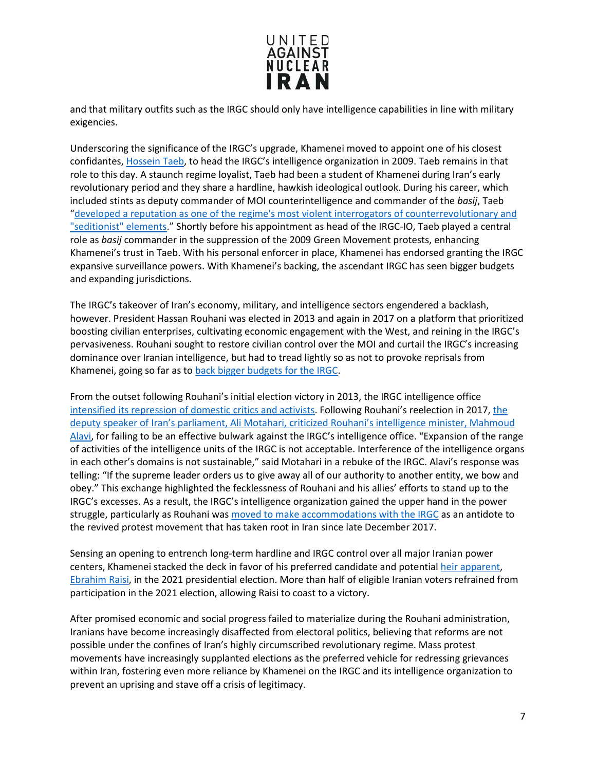

and that military outfits such as the IRGC should only have intelligence capabilities in line with military exigencies.

Underscoring the significance of the IRGC's upgrade, Khamenei moved to appoint one of his closest confidantes[, Hossein Taeb,](http://www.washingtoninstitute.org/policy-analysis/view/irans-widening-crackdown-pressures-rouhani) to head the IRGC's intelligence organization in 2009. Taeb remains in that role to this day. A staunch regime loyalist, Taeb had been a student of Khamenei during Iran's early revolutionary period and they share a hardline, hawkish ideological outlook. During his career, which included stints as deputy commander of MOI counterintelligence and commander of the *basij*, Taeb ["developed a reputation as one of the regime's most violent interrogators of counterrevolutionary and](http://www.washingtoninstitute.org/policy-analysis/view/irans-widening-crackdown-pressures-rouhani)  ["seditionist" elements.](http://www.washingtoninstitute.org/policy-analysis/view/irans-widening-crackdown-pressures-rouhani)" Shortly before his appointment as head of the IRGC-IO, Taeb played a central role as *basij* commander in the suppression of the 2009 Green Movement protests, enhancing Khamenei's trust in Taeb. With his personal enforcer in place, Khamenei has endorsed granting the IRGC expansive surveillance powers. With Khamenei's backing, the ascendant IRGC has seen bigger budgets and expanding jurisdictions.

The IRGC's takeover of Iran's economy, military, and intelligence sectors engendered a backlash, however. President Hassan Rouhani was elected in 2013 and again in 2017 on a platform that prioritized boosting civilian enterprises, cultivating economic engagement with the West, and reining in the IRGC's pervasiveness. Rouhani sought to restore civilian control over the MOI and curtail the IRGC's increasing dominance over Iranian intelligence, but had to tread lightly so as not to provoke reprisals from Khamenei, going so far as t[o back bigger budgets for the IRGC.](https://www.ft.com/content/43de1388-9857-11e7-a652-cde3f882dd7b)

From the outset following Rouhani's initial election victory in 2013, the IRGC intelligence office [intensified its repression of domestic critics and activists.](https://www.rferl.org/a/iran-irgc-intelligence-unit-revived/27265226.html) Following Rouhani's reelection in 2017, the [deputy speaker of Iran's parliament, Ali Motahari, criticized Rouhani's intelligence minister, Mahmoud](https://en.radiofarda.com/a/iran-motahari-criticizes-irgc-intelligence/28682395.html)  [Alavi,](https://en.radiofarda.com/a/iran-motahari-criticizes-irgc-intelligence/28682395.html) for failing to be an effective bulwark against the IRGC's intelligence office. "Expansion of the range of activities of the intelligence units of the IRGC is not acceptable. Interference of the intelligence organs in each other's domains is not sustainable," said Motahari in a rebuke of the IRGC. Alavi's response was telling: "If the supreme leader orders us to give away all of our authority to another entity, we bow and obey." This exchange highlighted the fecklessness of Rouhani and his allies' efforts to stand up to the IRGC's excesses. As a result, the IRGC's intelligence organization gained the upper hand in the power struggle, particularly as Rouhani was [moved to make accommodations with the IRGC](https://www.unitedagainstnucleariran.com/blog/irgcs-influence-ascendant-iran-as-anniversary-of-its-founding-approaches) as an antidote to the revived protest movement that has taken root in Iran since late December 2017.

Sensing an opening to entrench long-term hardline and IRGC control over all major Iranian power centers, Khamenei stacked the deck in favor of his preferred candidate and potential [heir apparent,](https://www.unitedagainstnucleariran.com/who-will-be-irans-next-supreme-leader) [Ebrahim Raisi,](https://www.unitedagainstnucleariran.com/ebrahim-raisi-president-of-iran) in the 2021 presidential election. More than half of eligible Iranian voters refrained from participation in the 2021 election, allowing Raisi to coast to a victory.

After promised economic and social progress failed to materialize during the Rouhani administration, Iranians have become increasingly disaffected from electoral politics, believing that reforms are not possible under the confines of Iran's highly circumscribed revolutionary regime. Mass protest movements have increasingly supplanted elections as the preferred vehicle for redressing grievances within Iran, fostering even more reliance by Khamenei on the IRGC and its intelligence organization to prevent an uprising and stave off a crisis of legitimacy.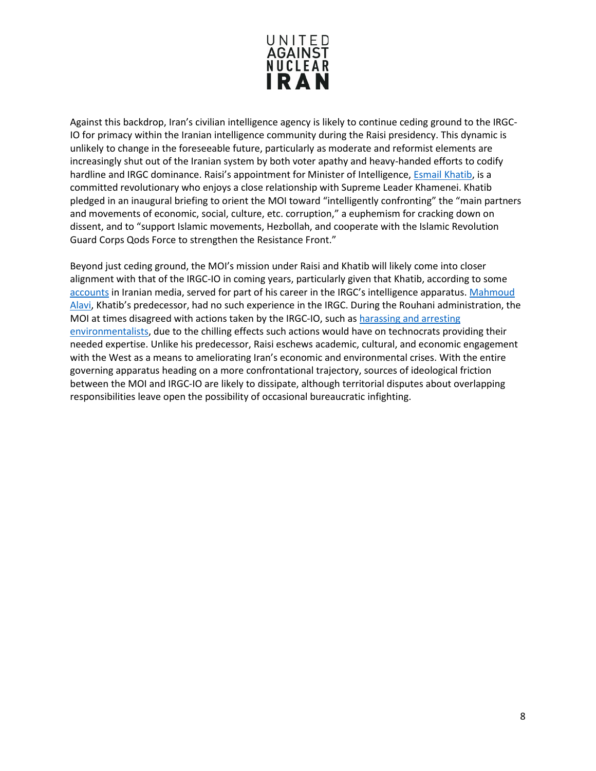

Against this backdrop, Iran's civilian intelligence agency is likely to continue ceding ground to the IRGC-IO for primacy within the Iranian intelligence community during the Raisi presidency. This dynamic is unlikely to change in the foreseeable future, particularly as moderate and reformist elements are increasingly shut out of the Iranian system by both voter apathy and heavy-handed efforts to codify hardline and IRGC dominance. Raisi's appointment for Minister of Intelligence, **Esmail Khatib**, is a committed revolutionary who enjoys a close relationship with Supreme Leader Khamenei. Khatib pledged in an inaugural briefing to orient the MOI toward "intelligently confronting" the "main partners and movements of economic, social, culture, etc. corruption," a euphemism for cracking down on dissent, and to "support Islamic movements, Hezbollah, and cooperate with the Islamic Revolution Guard Corps Qods Force to strengthen the Resistance Front."

Beyond just ceding ground, the MOI's mission under Raisi and Khatib will likely come into closer alignment with that of the IRGC-IO in coming years, particularly given that Khatib, according to some [accounts](https://iranpress.com/content/45136/pres-raisi-introduces-his-cabinet-parliament-list-and-records-ministers) in Iranian media, served for part of his career in the IRGC's intelligence apparatus. [Mahmoud](https://www.unitedagainstnucleariran.com/hojatoleslam-mahmoud-alavi-intelligence-minister-of-iran)  [Alavi,](https://www.unitedagainstnucleariran.com/hojatoleslam-mahmoud-alavi-intelligence-minister-of-iran) Khatib's predecessor, had no such experience in the IRGC. During the Rouhani administration, the MOI at times disagreed with actions taken by the IRGC-IO, such as [harassing and arresting](https://www.hrw.org/news/2018/10/18/irans-environmentalists-are-caught-political-power-struggle)  [environmentalists,](https://www.hrw.org/news/2018/10/18/irans-environmentalists-are-caught-political-power-struggle) due to the chilling effects such actions would have on technocrats providing their needed expertise. Unlike his predecessor, Raisi eschews academic, cultural, and economic engagement with the West as a means to ameliorating Iran's economic and environmental crises. With the entire governing apparatus heading on a more confrontational trajectory, sources of ideological friction between the MOI and IRGC-IO are likely to dissipate, although territorial disputes about overlapping responsibilities leave open the possibility of occasional bureaucratic infighting.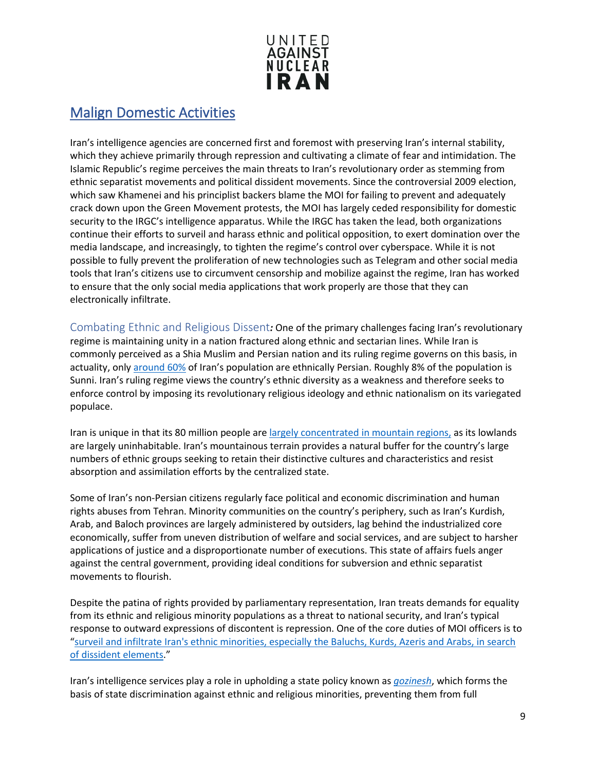

#### <span id="page-8-0"></span>Malign Domestic Activities

Iran's intelligence agencies are concerned first and foremost with preserving Iran's internal stability, which they achieve primarily through repression and cultivating a climate of fear and intimidation. The Islamic Republic's regime perceives the main threats to Iran's revolutionary order as stemming from ethnic separatist movements and political dissident movements. Since the controversial 2009 election, which saw Khamenei and his principlist backers blame the MOI for failing to prevent and adequately crack down upon the Green Movement protests, the MOI has largely ceded responsibility for domestic security to the IRGC's intelligence apparatus. While the IRGC has taken the lead, both organizations continue their efforts to surveil and harass ethnic and political opposition, to exert domination over the media landscape, and increasingly, to tighten the regime's control over cyberspace. While it is not possible to fully prevent the proliferation of new technologies such as Telegram and other social media tools that Iran's citizens use to circumvent censorship and mobilize against the regime, Iran has worked to ensure that the only social media applications that work properly are those that they can electronically infiltrate.

<span id="page-8-1"></span>Combating Ethnic and Religious Dissent*:* One of the primary challenges facing Iran's revolutionary regime is maintaining unity in a nation fractured along ethnic and sectarian lines. While Iran is commonly perceived as a Shia Muslim and Persian nation and its ruling regime governs on this basis, in actuality, only [around](http://www.univie.ac.at/bimtor/dateien/iran_ai_2007_abuses_agains_baluchi_minority.pdf) 60% of Iran's population are ethnically Persian. Roughly 8% of the population is Sunni. Iran's ruling regime views the country's ethnic diversity as a weakness and therefore seeks to enforce control by imposing its revolutionary religious ideology and ethnic nationalism on its variegated populace.

Iran is unique in that its 80 million people ar[e largely concentrated in mountain regions,](https://worldview.stratfor.com/article/geopolitics-iran-holding-center-mountain-fortress#/entry/jsconnect?client_id=644347316&target=%2Fdiscussion%2Fembed%3Fp%3D%252Fdiscussion%252Fembed%252F%26title%3DThe%2BGeopolitics%2Bof%2BIran%253A%2BHolding%2Bthe%2BCenter%2Bof%2Ba%2BMountain%2BFortress%26vanilla_category_id%3D1%26vanilla_identifier%3D26) as its lowlands are largely uninhabitable. Iran's mountainous terrain provides a natural buffer for the country's large numbers of ethnic groups seeking to retain their distinctive cultures and characteristics and resist absorption and assimilation efforts by the centralized state.

Some of Iran's non-Persian citizens regularly face political and economic discrimination and human rights abuses from Tehran. Minority communities on the country's periphery, such as Iran's Kurdish, Arab, and Baloch provinces are largely administered by outsiders, lag behind the industrialized core economically, suffer from uneven distribution of welfare and social services, and are subject to harsher applications of justice and a disproportionate number of executions. This state of affairs fuels anger against the central government, providing ideal conditions for subversion and ethnic separatist movements to flourish.

Despite the patina of rights provided by parliamentary representation, Iran treats demands for equality from its ethnic and religious minority populations as a threat to national security, and Iran's typical response to outward expressions of discontent is repression. One of the core duties of MOI officers is to ["surveil and infiltrate Iran's ethnic minorities, especially the Baluchs, Kurds, Azeris and Arabs, in search](https://worldview.stratfor.com/article/special-series-iranian-intelligence-and-regime-preservation)  [of dissident elements.](https://worldview.stratfor.com/article/special-series-iranian-intelligence-and-regime-preservation)"

Iran's intelligence services play a role in upholding a state policy known as *[gozinesh](http://hrbrief.org/2016/08/iranian-brain-drain-human-rights-approach/)*, which forms the basis of state discrimination against ethnic and religious minorities, preventing them from full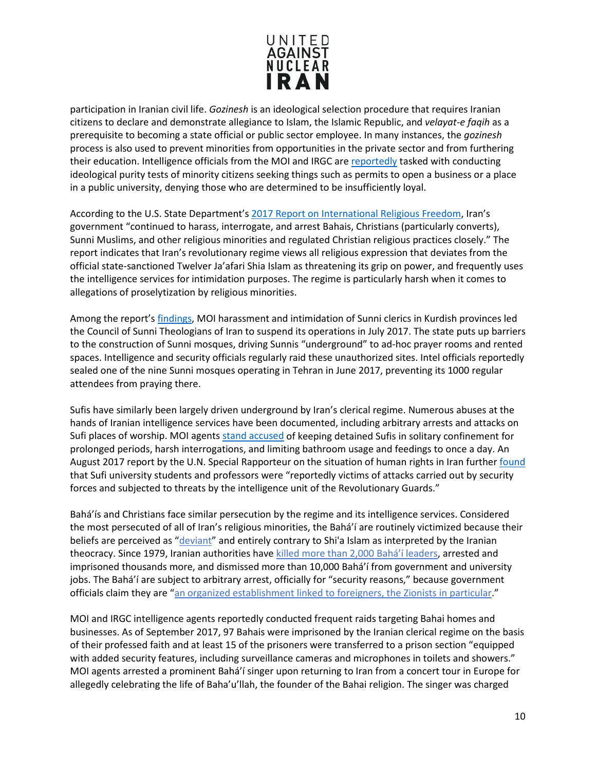

participation in Iranian civil life. *Gozinesh* is an ideological selection procedure that requires Iranian citizens to declare and demonstrate allegiance to Islam, the Islamic Republic, and *velayat-e faqih* as a prerequisite to becoming a state official or public sector employee. In many instances, the *gozinesh*  process is also used to prevent minorities from opportunities in the private sector and from furthering their education. Intelligence officials from the MOI and IRGC are [reportedly](http://www.univie.ac.at/bimtor/dateien/iran_ai_2007_abuses_agains_baluchi_minority.pdf) tasked with conducting ideological purity tests of minority citizens seeking things such as permits to open a business or a place in a public university, denying those who are determined to be insufficiently loyal.

According to the U.S. State Department's [2017 Report on International Religious Freedom,](https://www.state.gov/j/drl/rls/irf/religiousfreedom/index.htm?year=2017&dlid=280982#wrapper) Iran's government "continued to harass, interrogate, and arrest Bahais, Christians (particularly converts), Sunni Muslims, and other religious minorities and regulated Christian religious practices closely." The report indicates that Iran's revolutionary regime views all religious expression that deviates from the official state-sanctioned Twelver Ja'afari Shia Islam as threatening its grip on power, and frequently uses the intelligence services for intimidation purposes. The regime is particularly harsh when it comes to allegations of proselytization by religious minorities.

Among the report's [findings,](https://www.state.gov/j/drl/rls/irf/religiousfreedom/index.htm?year=2017&dlid=280982#wrapper) MOI harassment and intimidation of Sunni clerics in Kurdish provinces led the Council of Sunni Theologians of Iran to suspend its operations in July 2017. The state puts up barriers to the construction of Sunni mosques, driving Sunnis "underground" to ad-hoc prayer rooms and rented spaces. Intelligence and security officials regularly raid these unauthorized sites. Intel officials reportedly sealed one of the nine Sunni mosques operating in Tehran in June 2017, preventing its 1000 regular attendees from praying there.

Sufis have similarly been largely driven underground by Iran's clerical regime. Numerous abuses at the hands of Iranian intelligence services have been documented, including arbitrary arrests and attacks on Sufi places of worship. MOI agent[s stand accused](http://www.iranhrdc.org/english/publications/witness-testimony/1000000276-witness-statement-of-hamed-khajeheian.html) of keeping detained Sufis in solitary confinement for prolonged periods, harsh interrogations, and limiting bathroom usage and feedings to once a day. An August 2017 report by the U.N. Special Rapporteur on the situation of human rights in Iran further [found](https://documents-dds-ny.un.org/doc/UNDOC/GEN/N17/256/24/PDF/N1725624.pdf?OpenElement) that Sufi university students and professors were "reportedly victims of attacks carried out by security forces and subjected to threats by the intelligence unit of the Revolutionary Guards."

Bahá'ís and Christians face similar persecution by the regime and its intelligence services. Considered the most persecuted of all of Iran's religious minorities, the Bahá'í are routinely victimized because their beliefs are perceived as "*deviant*" and entirely contrary to Shi'a Islam as interpreted by the Iranian theocracy. Since 1979, Iranian authorities have [killed more than 2,000 Bahá'í leaders,](http://www.uscirf.gov/index.php?option=com_content&task=view&id=2199&Itemid=1) arrested and imprisoned thousands more, and dismissed more than 10,000 Bahá'í from government and university jobs. The Bahá'í are subject to arbitrary arrest, officially for "security reasons," because government officials claim they are ["an organized establishment linked to foreigners, the Zionists in particular.](http://www.cnn.com/2008/WORLD/meast/05/22/iran.bahais/index.html)"

MOI and IRGC intelligence agents reportedly conducted frequent raids targeting Bahai homes and businesses. As of September 2017, 97 Bahais were imprisoned by the Iranian clerical regime on the basis of their professed faith and at least 15 of the prisoners were transferred to a prison section "equipped with added security features, including surveillance cameras and microphones in toilets and showers." MOI agents arrested a prominent Bahá'í singer upon returning to Iran from a concert tour in Europe for allegedly celebrating the life of Baha'u'llah, the founder of the Bahai religion. The singer was charged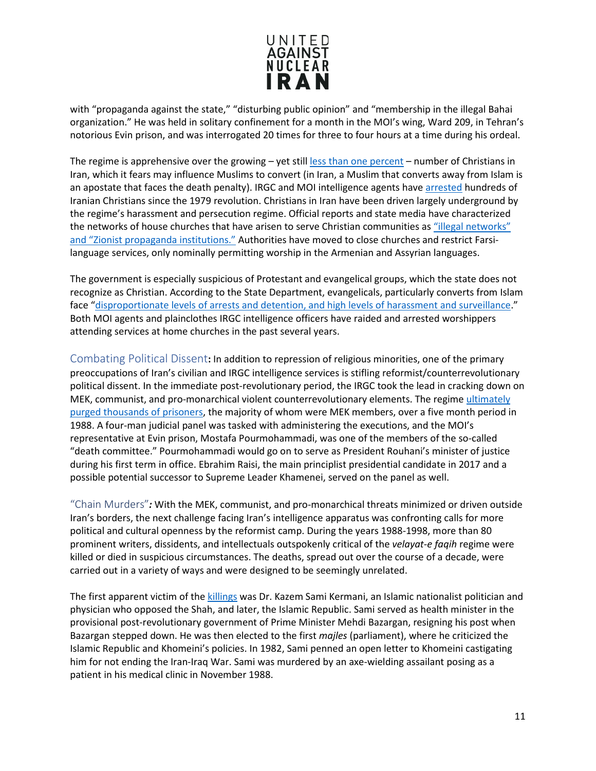

with "propaganda against the state," "disturbing public opinion" and "membership in the illegal Bahai organization." He was held in solitary confinement for a month in the MOI's wing, Ward 209, in Tehran's notorious Evin prison, and was interrogated 20 times for three to four hours at a time during his ordeal.

The regime is apprehensive over the growing – yet stil[l less than one percent](http://worldpopulationreview.com/countries/iran-population/) – number of Christians in Iran, which it fears may influence Muslims to convert (in Iran, a Muslim that converts away from Islam is an apostate that faces the death penalty). IRGC and MOI intelligence agents have [arrested](http://www.mei.edu/content/io/authorities-iran-intensify-crackdown-christian-converts) hundreds of Iranian Christians since the 1979 revolution. Christians in Iran have been driven largely underground by the regime's harassment and persecution regime. Official reports and state media have characterized the networks of house churches that have arisen to serve Christian communities as ["illegal networks"](https://www.state.gov/j/drl/rls/irf/religiousfreedom/index.htm?year=2017&dlid=280982#wrapper)  [and "Zionist propaganda institutions."](https://www.state.gov/j/drl/rls/irf/religiousfreedom/index.htm?year=2017&dlid=280982#wrapper) Authorities have moved to close churches and restrict Farsilanguage services, only nominally permitting worship in the Armenian and Assyrian languages.

The government is especially suspicious of Protestant and evangelical groups, which the state does not recognize as Christian. According to the State Department, evangelicals, particularly converts from Islam face ["disproportionate levels of arrests and detention, and high levels of harassment and surveillance.](https://www.state.gov/j/drl/rls/irf/religiousfreedom/index.htm?year=2017&dlid=280982#wrapper)" Both MOI agents and plainclothes IRGC intelligence officers have raided and arrested worshippers attending services at home churches in the past several years.

<span id="page-10-0"></span>Combating Political Dissent**:** In addition to repression of religious minorities, one of the primary preoccupations of Iran's civilian and IRGC intelligence services is stifling reformist/counterrevolutionary political dissent. In the immediate post-revolutionary period, the IRGC took the lead in cracking down on MEK, communist, and pro-monarchical violent counterrevolutionary elements. The regime [ultimately](https://english.alarabiya.net/en/perspective/features/2017/07/22/ANALYSIS-Unveiling-the-secrets-of-Iran-s-1988-massacre.html)  [purged thousands of prisoners,](https://english.alarabiya.net/en/perspective/features/2017/07/22/ANALYSIS-Unveiling-the-secrets-of-Iran-s-1988-massacre.html) the majority of whom were MEK members, over a five month period in 1988. A four-man judicial panel was tasked with administering the executions, and the MOI's representative at Evin prison, Mostafa Pourmohammadi, was one of the members of the so-called "death committee." Pourmohammadi would go on to serve as President Rouhani's minister of justice during his first term in office. Ebrahim Raisi, the main principlist presidential candidate in 2017 and a possible potential successor to Supreme Leader Khamenei, served on the panel as well.

<span id="page-10-1"></span>"Chain Murders"*:* With the MEK, communist, and pro-monarchical threats minimized or driven outside Iran's borders, the next challenge facing Iran's intelligence apparatus was confronting calls for more political and cultural openness by the reformist camp. During the years 1988-1998, more than 80 prominent writers, dissidents, and intellectuals outspokenly critical of the *velayat-e faqih* regime were killed or died in suspicious circumstances. The deaths, spread out over the course of a decade, were carried out in a variety of ways and were designed to be seemingly unrelated.

The first apparent victim of the [killings](https://www.pbs.org/wgbh/pages/frontline/tehranbureau/2011/01/the-chain-murders-killing-dissidents-and-intellectuals-1988-1998.html) was Dr. Kazem Sami Kermani, an Islamic nationalist politician and physician who opposed the Shah, and later, the Islamic Republic. Sami served as health minister in the provisional post-revolutionary government of Prime Minister Mehdi Bazargan, resigning his post when Bazargan stepped down. He was then elected to the first *majles* (parliament), where he criticized the Islamic Republic and Khomeini's policies. In 1982, Sami penned an open letter to Khomeini castigating him for not ending the Iran-Iraq War. Sami was murdered by an axe-wielding assailant posing as a patient in his medical clinic in November 1988.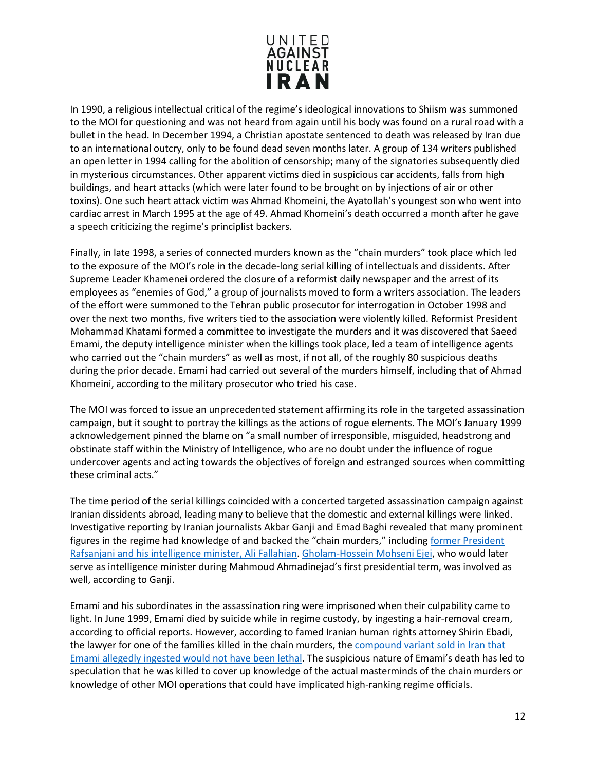

In 1990, a religious intellectual critical of the regime's ideological innovations to Shiism was summoned to the MOI for questioning and was not heard from again until his body was found on a rural road with a bullet in the head. In December 1994, a Christian apostate sentenced to death was released by Iran due to an international outcry, only to be found dead seven months later. A group of 134 writers published an open letter in 1994 calling for the abolition of censorship; many of the signatories subsequently died in mysterious circumstances. Other apparent victims died in suspicious car accidents, falls from high buildings, and heart attacks (which were later found to be brought on by injections of air or other toxins). One such heart attack victim was Ahmad Khomeini, the Ayatollah's youngest son who went into cardiac arrest in March 1995 at the age of 49. Ahmad Khomeini's death occurred a month after he gave a speech criticizing the regime's principlist backers.

Finally, in late 1998, a series of connected murders known as the "chain murders" took place which led to the exposure of the MOI's role in the decade-long serial killing of intellectuals and dissidents. After Supreme Leader Khamenei ordered the closure of a reformist daily newspaper and the arrest of its employees as "enemies of God," a group of journalists moved to form a writers association. The leaders of the effort were summoned to the Tehran public prosecutor for interrogation in October 1998 and over the next two months, five writers tied to the association were violently killed. Reformist President Mohammad Khatami formed a committee to investigate the murders and it was discovered that Saeed Emami, the deputy intelligence minister when the killings took place, led a team of intelligence agents who carried out the "chain murders" as well as most, if not all, of the roughly 80 suspicious deaths during the prior decade. Emami had carried out several of the murders himself, including that of Ahmad Khomeini, according to the military prosecutor who tried his case.

The MOI was forced to issue an unprecedented statement affirming its role in the targeted assassination campaign, but it sought to portray the killings as the actions of rogue elements. The MOI's January 1999 acknowledgement pinned the blame on "a small number of irresponsible, misguided, headstrong and obstinate staff within the Ministry of Intelligence, who are no doubt under the influence of rogue undercover agents and acting towards the objectives of foreign and estranged sources when committing these criminal acts."

The time period of the serial killings coincided with a concerted targeted assassination campaign against Iranian dissidents abroad, leading many to believe that the domestic and external killings were linked. Investigative reporting by Iranian journalists Akbar Ganji and Emad Baghi revealed that many prominent figures in the regime had knowledge of and backed the "chain murders," including former President [Rafsanjani and his intelligence minister, Ali Fallahian.](https://www.pbs.org/wgbh/pages/frontline/tehranbureau/2011/01/the-chain-murders-killing-dissidents-and-intellectuals-1988-1998.html) [Gholam-Hossein Mohseni Ejei,](https://www.gatestoneinstitute.org/144/the-chain-murders-of-iran) who would later serve as intelligence minister during Mahmoud Ahmadinejad's first presidential term, was involved as well, according to Ganji.

Emami and his subordinates in the assassination ring were imprisoned when their culpability came to light. In June 1999, Emami died by suicide while in regime custody, by ingesting a hair-removal cream, according to official reports. However, according to famed Iranian human rights attorney Shirin Ebadi, the lawyer for one of the families killed in the chain murders, th[e compound variant sold in Iran that](https://www.pbs.org/wgbh/pages/frontline/tehranbureau/2011/01/the-chain-murders-killing-dissidents-and-intellectuals-1988-1998.html)  [Emami allegedly ingested would not have been lethal.](https://www.pbs.org/wgbh/pages/frontline/tehranbureau/2011/01/the-chain-murders-killing-dissidents-and-intellectuals-1988-1998.html) The suspicious nature of Emami's death has led to speculation that he was killed to cover up knowledge of the actual masterminds of the chain murders or knowledge of other MOI operations that could have implicated high-ranking regime officials.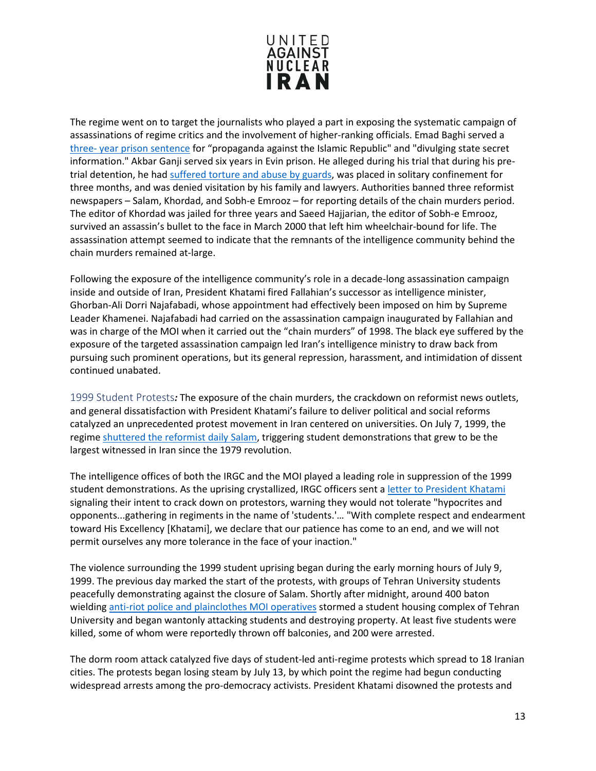

The regime went on to target the journalists who played a part in exposing the systematic campaign of assassinations of regime critics and the involvement of higher-ranking officials. Emad Baghi served a [three- year prison sentence](http://www.worldpress.org/print_article.cfm?article_id=3085&dont=yes) for "propaganda against the Islamic Republic" and "divulging state secret information." Akbar Ganji served six years in Evin prison. He alleged during his trial that during his pretrial detention, he ha[d suffered torture and abuse by guards,](http://www.farsinet.com/news/nov2000wk2.html#torture) was placed in solitary confinement for three months, and was denied visitation by his family and lawyers. Authorities banned three reformist newspapers – Salam, Khordad, and Sobh-e Emrooz – for reporting details of the chain murders period. The editor of Khordad was jailed for three years and Saeed Hajjarian, the editor of Sobh-e Emrooz, survived an assassin's bullet to the face in March 2000 that left him wheelchair-bound for life. The assassination attempt seemed to indicate that the remnants of the intelligence community behind the chain murders remained at-large.

Following the exposure of the intelligence community's role in a decade-long assassination campaign inside and outside of Iran, President Khatami fired Fallahian's successor as intelligence minister, Ghorban-Ali Dorri Najafabadi, whose appointment had effectively been imposed on him by Supreme Leader Khamenei. Najafabadi had carried on the assassination campaign inaugurated by Fallahian and was in charge of the MOI when it carried out the "chain murders" of 1998. The black eye suffered by the exposure of the targeted assassination campaign led Iran's intelligence ministry to draw back from pursuing such prominent operations, but its general repression, harassment, and intimidation of dissent continued unabated.

<span id="page-12-0"></span>1999 Student Protests*:* The exposure of the chain murders, the crackdown on reformist news outlets, and general dissatisfaction with President Khatami's failure to deliver political and social reforms catalyzed an unprecedented protest movement in Iran centered on universities. On July 7, 1999, the regime [shuttered the reformist daily Salam,](https://cpj.org/2000/03/attacks-on-the-press-1999-iran.php) triggering student demonstrations that grew to be the largest witnessed in Iran since the 1979 revolution.

The intelligence offices of both the IRGC and the MOI played a leading role in suppression of the 1999 student demonstrations. As the uprising crystallized, IRGC officers sent a [letter to President Khatami](http://www.washingtoninstitute.org/policy-analysis/view/irans-widening-crackdown-pressures-rouhani) signaling their intent to crack down on protestors, warning they would not tolerate "hypocrites and opponents...gathering in regiments in the name of 'students.'… "With complete respect and endearment toward His Excellency [Khatami], we declare that our patience has come to an end, and we will not permit ourselves any more tolerance in the face of your inaction."

The violence surrounding the 1999 student uprising began during the early morning hours of July 9, 1999. The previous day marked the start of the protests, with groups of Tehran University students peacefully demonstrating against the closure of Salam. Shortly after midnight, around 400 baton wielding [anti-riot police and plainclothes MOI operatives](http://www.iran.org/humanrights/students.htm) stormed a student housing complex of Tehran University and began wantonly attacking students and destroying property. At least five students were killed, some of whom were reportedly thrown off balconies, and 200 were arrested.

The dorm room attack catalyzed five days of student-led anti-regime protests which spread to 18 Iranian cities. The protests began losing steam by July 13, by which point the regime had begun conducting widespread arrests among the pro-democracy activists. President Khatami disowned the protests and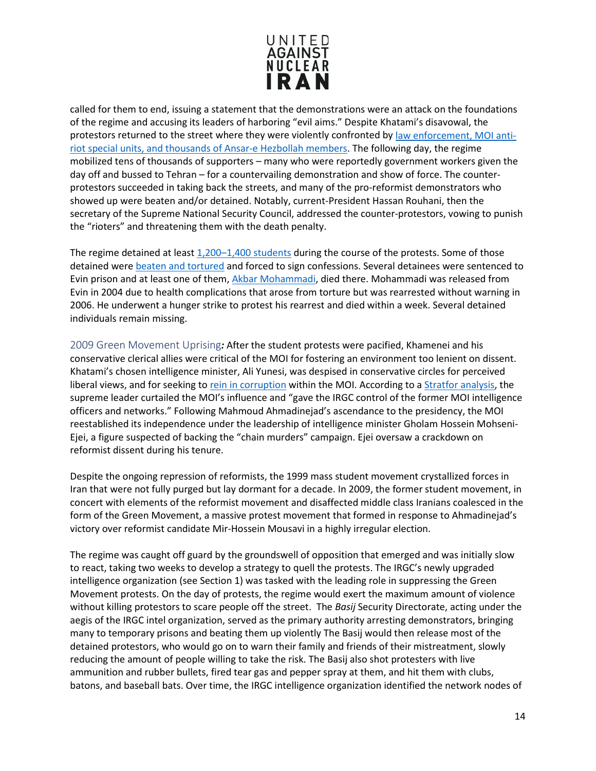

called for them to end, issuing a statement that the demonstrations were an attack on the foundations of the regime and accusing its leaders of harboring "evil aims." Despite Khatami's disavowal, the protestors returned to the street where they were violently confronted by [law enforcement, MOI anti](https://web.archive.org/web/20051126064014/http:/www.irb-cisr.gc.ca/en/research/publications/index_e.htm?cid=0&docid=96&sec=CH02)[riot special units, and thousands of Ansar-e Hezbollah members.](https://web.archive.org/web/20051126064014/http:/www.irb-cisr.gc.ca/en/research/publications/index_e.htm?cid=0&docid=96&sec=CH02) The following day, the regime mobilized tens of thousands of supporters – many who were reportedly government workers given the day off and bussed to Tehran – for a countervailing demonstration and show of force. The counterprotestors succeeded in taking back the streets, and many of the pro-reformist demonstrators who showed up were beaten and/or detained. Notably, current-President Hassan Rouhani, then the secretary of the Supreme National Security Council, addressed the counter-protestors, vowing to punish the "rioters" and threatening them with the death penalty.

The regime detained at least [1,200–1,400 students](https://www.hrw.org/news/1999/07/29/new-arrests-and-disappearances-iranian-students) during the course of the protests. Some of those detained wer[e beaten and tortured](http://news.bbc.co.uk/2/hi/middle_east/3879535.stm) and forced to sign confessions. Several detainees were sentenced to Evin prison and at least one of them, [Akbar Mohammadi,](https://www.hrw.org/news/2006/08/02/iran-imprisoned-dissident-dies-custody) died there. Mohammadi was released from Evin in 2004 due to health complications that arose from torture but was rearrested without warning in 2006. He underwent a hunger strike to protest his rearrest and died within a week. Several detained individuals remain missing.

<span id="page-13-0"></span>2009 Green Movement Uprising*:* After the student protests were pacified, Khamenei and his conservative clerical allies were critical of the MOI for fostering an environment too lenient on dissent. Khatami's chosen intelligence minister, Ali Yunesi, was despised in conservative circles for perceived liberal views, and for seeking to [rein in corruption](https://fas.org/irp/world/iran/mois-loc.pdf) within the MOI. According to a [Stratfor](https://worldview.stratfor.com/article/special-series-iranian-intelligence-and-regime-preservation) analysis, the supreme leader curtailed the MOI's influence and "gave the IRGC control of the former MOI intelligence officers and networks." Following Mahmoud Ahmadinejad's ascendance to the presidency, the MOI reestablished its independence under the leadership of intelligence minister Gholam Hossein Mohseni-Ejei, a figure suspected of backing the "chain murders" campaign. Ejei oversaw a crackdown on reformist dissent during his tenure.

Despite the ongoing repression of reformists, the 1999 mass student movement crystallized forces in Iran that were not fully purged but lay dormant for a decade. In 2009, the former student movement, in concert with elements of the reformist movement and disaffected middle class Iranians coalesced in the form of the Green Movement, a massive protest movement that formed in response to Ahmadinejad's victory over reformist candidate Mir-Hossein Mousavi in a highly irregular election.

The regime was caught off guard by the groundswell of opposition that emerged and was initially slow to react, taking two weeks to develop a strategy to quell the protests. The IRGC's newly upgraded intelligence organization (see Section 1) was tasked with the leading role in suppressing the Green Movement protests. On the day of protests, the regime would exert the maximum amount of violence without killing protestors to scare people off the street. The *Basij* Security Directorate, acting under the aegis of the IRGC intel organization, served as the primary authority arresting demonstrators, bringing many to temporary prisons and beating them up violently The Basij would then release most of the detained protestors, who would go on to warn their family and friends of their mistreatment, slowly reducing the amount of people willing to take the risk. The Basij also shot protesters with live ammunition and rubber bullets, fired tear gas and pepper spray at them, and hit them with clubs, batons, and baseball bats. Over time, the IRGC intelligence organization identified the network nodes of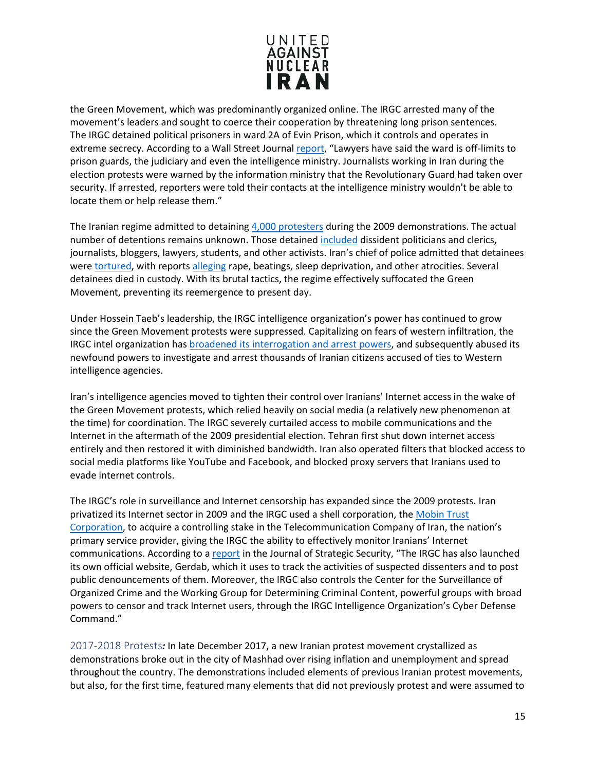

the Green Movement, which was predominantly organized online. The IRGC arrested many of the movement's leaders and sought to coerce their cooperation by threatening long prison sentences. The IRGC detained political prisoners in ward 2A of Evin Prison, which it controls and operates in extreme secrecy. According to a Wall Street Journa[l report,](https://www.wsj.com/articles/SB125797782460044139) "Lawyers have said the ward is off-limits to prison guards, the judiciary and even the intelligence ministry. Journalists working in Iran during the election protests were warned by the information ministry that the Revolutionary Guard had taken over security. If arrested, reporters were told their contacts at the intelligence ministry wouldn't be able to locate them or help release them."

The Iranian regime admitted to detainin[g 4,000 protesters](http://news.bbc.co.uk/2/hi/middle_east/8195586.stm) during the 2009 demonstrations. The actual number of detentions remains unknown. Those detained [included](https://www.hrw.org/news/2009/06/23/iran-violent-crackdown-protesters-widens) dissident politicians and clerics, journalists, bloggers, lawyers, students, and other activists. Iran's chief of police admitted that detainees were [tortured,](https://www.theguardian.com/world/2009/aug/09/iran-protesters-torture-election) with reports [alleging](https://www.theguardian.com/world/2009/aug/14/protesters-raped-iran-jail) rape, beatings, sleep deprivation, and other atrocities. Several detainees died in custody. With its brutal tactics, the regime effectively suffocated the Green Movement, preventing its reemergence to present day.

Under Hossein Taeb's leadership, the IRGC intelligence organization's power has continued to grow since the Green Movement protests were suppressed. Capitalizing on fears of western infiltration, the IRGC intel organization ha[s broadened its interrogation and arrest powers,](http://www.washingtoninstitute.org/policy-analysis/view/irans-widening-crackdown-pressures-rouhani) and subsequently abused its newfound powers to investigate and arrest thousands of Iranian citizens accused of ties to Western intelligence agencies.

Iran's intelligence agencies moved to tighten their control over Iranians' Internet access in the wake of the Green Movement protests, which relied heavily on social media (a relatively new phenomenon at the time) for coordination. The IRGC severely curtailed access to mobile communications and the Internet in the aftermath of the 2009 presidential election. Tehran first shut down internet access entirely and then restored it with diminished bandwidth. Iran also operated filters that blocked access to social media platforms like YouTube and Facebook, and blocked proxy servers that Iranians used to evade internet controls.

The IRGC's role in surveillance and Internet censorship has expanded since the 2009 protests. Iran privatized its Internet sector in 2009 and the IRGC used a shell corporation, the [Mobin Trust](http://scholarcommons.usf.edu/cgi/viewcontent.cgi?article=1449&context=jss)  [Corporation,](http://scholarcommons.usf.edu/cgi/viewcontent.cgi?article=1449&context=jss) to acquire a controlling stake in the Telecommunication Company of Iran, the nation's primary service provider, giving the IRGC the ability to effectively monitor Iranians' Internet communications. According to a [report](http://scholarcommons.usf.edu/cgi/viewcontent.cgi?article=1449&context=jss) in the Journal of Strategic Security, "The IRGC has also launched its own official website, Gerdab, which it uses to track the activities of suspected dissenters and to post public denouncements of them. Moreover, the IRGC also controls the Center for the Surveillance of Organized Crime and the Working Group for Determining Criminal Content, powerful groups with broad powers to censor and track Internet users, through the IRGC Intelligence Organization's Cyber Defense Command."

<span id="page-14-0"></span>2017-2018 Protests*:* In late December 2017, a new Iranian protest movement crystallized as demonstrations broke out in the city of Mashhad over rising inflation and unemployment and spread throughout the country. The demonstrations included elements of previous Iranian protest movements, but also, for the first time, featured many elements that did not previously protest and were assumed to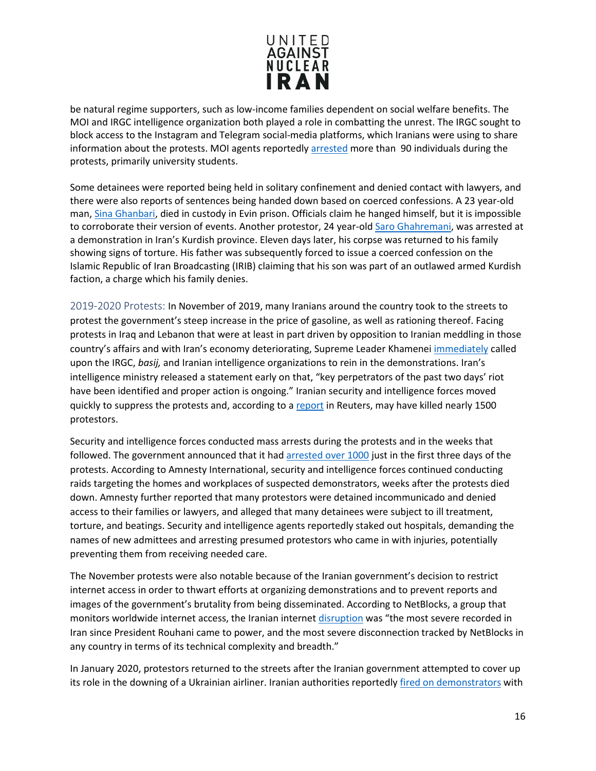

be natural regime supporters, such as low-income families dependent on social welfare benefits. The MOI and IRGC intelligence organization both played a role in combatting the unrest. The IRGC sought to block access to the Instagram and Telegram social-media platforms, which Iranians were using to share information about the protests. MOI agents reportedl[y arrested](https://iranhumanrights.org/2018/06/university-student-activists-sentenced-to-prison-after-being-arrested-by-president-rouhanis-intelligence-ministry/) more than 90 individuals during the protests, primarily university students.

Some detainees were reported being held in solitary confinement and denied contact with lawyers, and there were also reports of sentences being handed down based on coerced confessions. A 23 year-old man, [Sina Ghanbari,](https://www.iranhumanrights.org/2018/01/reformist-mp-pledges-to-seek-answers-on-students-arrested-in-irans-protests/) died in custody in Evin prison. Officials claim he hanged himself, but it is impossible to corroborate their version of events. Another protestor, 24 year-ol[d Saro Ghahremani,](https://www.iranhumanrights.org/2018/01/intelligence-ministry-forces-father-of-slain-protester-to-repeat-authorities-version-of-events-on-state-tv/) was arrested at a demonstration in Iran's Kurdish province. Eleven days later, his corpse was returned to his family showing signs of torture. His father was subsequently forced to issue a coerced confession on the Islamic Republic of Iran Broadcasting (IRIB) claiming that his son was part of an outlawed armed Kurdish faction, a charge which his family denies.

<span id="page-15-0"></span>2019-2020 Protests: In November of 2019, many Iranians around the country took to the streets to protest the government's steep increase in the price of gasoline, as well as rationing thereof. Facing protests in Iraq and Lebanon that were at least in part driven by opposition to Iranian meddling in those country's affairs and with Iran's economy deteriorating, Supreme Leader Khamenei [immediately](https://www.reuters.com/article/us-iran-protests-specialreport/special-report-irans-leader-ordered-crackdown-on-unrest-do-whatever-it-takes-to-end-it-idUSKBN1YR0QR) called upon the IRGC, *basij,* and Iranian intelligence organizations to rein in the demonstrations. Iran's intelligence ministry released a statement early on that, "key perpetrators of the past two days' riot have been identified and proper action is ongoing." Iranian security and intelligence forces moved quickly to suppress the protests and, according to a [report](https://www.reuters.com/article/us-iran-protests-specialreport/special-report-irans-leader-ordered-crackdown-on-unrest-do-whatever-it-takes-to-end-it-idUSKBN1YR0QR) in Reuters, may have killed nearly 1500 protestors.

Security and intelligence forces conducted mass arrests during the protests and in the weeks that followed. The government announced that it had [arrested over 1000](https://www.amnesty.org/en/latest/news/2019/12/iran-thousands-arbitrarily-detained-and-at-risk-of-torture-in-chilling-post-protest-crackdown/) just in the first three days of the protests. According to Amnesty International, security and intelligence forces continued conducting raids targeting the homes and workplaces of suspected demonstrators, weeks after the protests died down. Amnesty further reported that many protestors were detained incommunicado and denied access to their families or lawyers, and alleged that many detainees were subject to ill treatment, torture, and beatings. Security and intelligence agents reportedly staked out hospitals, demanding the names of new admittees and arresting presumed protestors who came in with injuries, potentially preventing them from receiving needed care.

The November protests were also notable because of the Iranian government's decision to restrict internet access in order to thwart efforts at organizing demonstrations and to prevent reports and images of the government's brutality from being disseminated. According to NetBlocks, a group that monitors worldwide internet access, the Iranian internet [disruption](https://www.cnbc.com/2019/11/17/iran-supreme-leader-warns-thugs-amid-gas-price-protests.html) was "the most severe recorded in Iran since President Rouhani came to power, and the most severe disconnection tracked by NetBlocks in any country in terms of its technical complexity and breadth."

In January 2020, protestors returned to the streets after the Iranian government attempted to cover up its role in the downing of a Ukrainian airliner. Iranian authorities reportedly [fired on demonstrators](https://www.nytimes.com/2020/01/12/world/middleeast/iran-plane-protests.html) with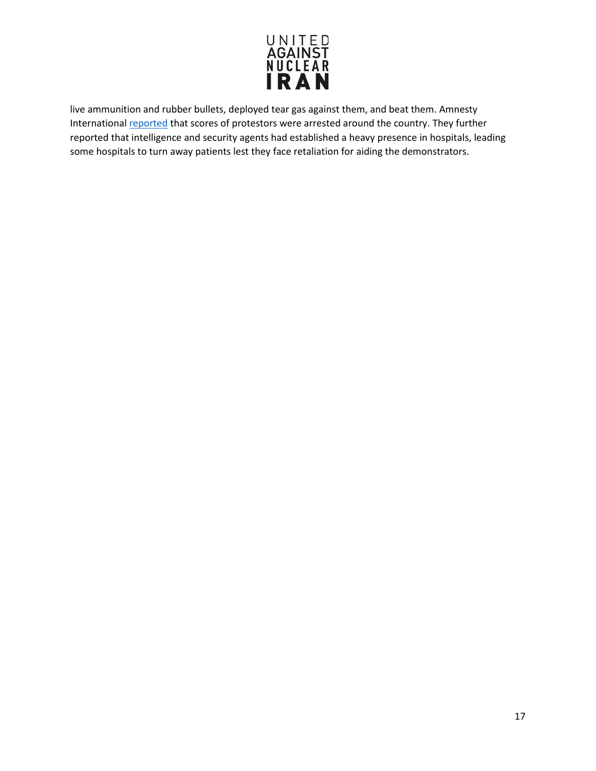

live ammunition and rubber bullets, deployed tear gas against them, and beat them. Amnesty Internationa[l reported](https://www.amnesty.org/en/latest/news/2020/01/iran-scores-injured-as-security-forces-use-unlawful-force-to-crush-protests/) that scores of protestors were arrested around the country. They further reported that intelligence and security agents had established a heavy presence in hospitals, leading some hospitals to turn away patients lest they face retaliation for aiding the demonstrators.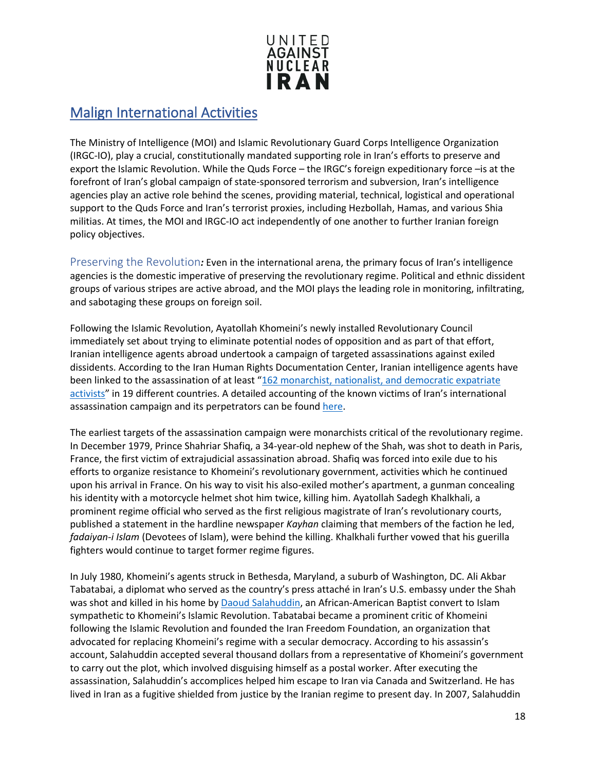

#### <span id="page-17-0"></span>Malign International Activities

The Ministry of Intelligence (MOI) and Islamic Revolutionary Guard Corps Intelligence Organization (IRGC-IO), play a crucial, constitutionally mandated supporting role in Iran's efforts to preserve and export the Islamic Revolution. While the Quds Force – the IRGC's foreign expeditionary force –is at the forefront of Iran's global campaign of state-sponsored terrorism and subversion, Iran's intelligence agencies play an active role behind the scenes, providing material, technical, logistical and operational support to the Quds Force and Iran's terrorist proxies, including Hezbollah, Hamas, and various Shia militias. At times, the MOI and IRGC-IO act independently of one another to further Iranian foreign policy objectives.

<span id="page-17-1"></span>Preserving the Revolution*:* Even in the international arena, the primary focus of Iran's intelligence agencies is the domestic imperative of preserving the revolutionary regime. Political and ethnic dissident groups of various stripes are active abroad, and the MOI plays the leading role in monitoring, infiltrating, and sabotaging these groups on foreign soil.

Following the Islamic Revolution, Ayatollah Khomeini's newly installed Revolutionary Council immediately set about trying to eliminate potential nodes of opposition and as part of that effort, Iranian intelligence agents abroad undertook a campaign of targeted assassinations against exiled dissidents. According to the Iran Human Rights Documentation Center, Iranian intelligence agents have been linked to the assassination of at least "162 monarchist, nationalist, and democratic expatriate [activists"](http://www.iranhrdc.org/english/english/publications/reports/3152-no-safe-haven-iran-s-global-assassination-campaign.html#4.1) in 19 different countries. A detailed accounting of the known victims of Iran's international assassination campaign and its perpetrators can be found [here.](https://scholarsarchive.byu.edu/cgi/viewcontent.cgi?article=2579&context=facpub)

The earliest targets of the assassination campaign were monarchists critical of the revolutionary regime. In December 1979, Prince Shahriar Shafiq, a 34-year-old nephew of the Shah, was shot to death in Paris, France, the first victim of extrajudicial assassination abroad. Shafiq was forced into exile due to his efforts to organize resistance to Khomeini's revolutionary government, activities which he continued upon his arrival in France. On his way to visit his also-exiled mother's apartment, a gunman concealing his identity with a motorcycle helmet shot him twice, killing him. Ayatollah Sadegh Khalkhali, a prominent regime official who served as the first religious magistrate of Iran's revolutionary courts, published a statement in the hardline newspaper *Kayhan* claiming that members of the faction he led, *fadaiyan-i Islam* (Devotees of Islam), were behind the killing. Khalkhali further vowed that his guerilla fighters would continue to target former regime figures.

In July 1980, Khomeini's agents struck in Bethesda, Maryland, a suburb of Washington, DC. Ali Akbar Tabatabai, a diplomat who served as the country's press attaché in Iran's U.S. embassy under the Shah was shot and killed in his home by [Daoud Salahuddin,](https://www.washingtonpost.com/archive/lifestyle/magazine/1996/08/25/the-lone-assassin/79a2ba00-e318-42e3-94cb-d26db6972e35/?noredirect=on&utm_term=.a44c93abc73e) an African-American Baptist convert to Islam sympathetic to Khomeini's Islamic Revolution. Tabatabai became a prominent critic of Khomeini following the Islamic Revolution and founded the Iran Freedom Foundation, an organization that advocated for replacing Khomeini's regime with a secular democracy. According to his assassin's account, Salahuddin accepted several thousand dollars from a representative of Khomeini's government to carry out the plot, which involved disguising himself as a postal worker. After executing the assassination, Salahuddin's accomplices helped him escape to Iran via Canada and Switzerland. He has lived in Iran as a fugitive shielded from justice by the Iranian regime to present day. In 2007, Salahuddin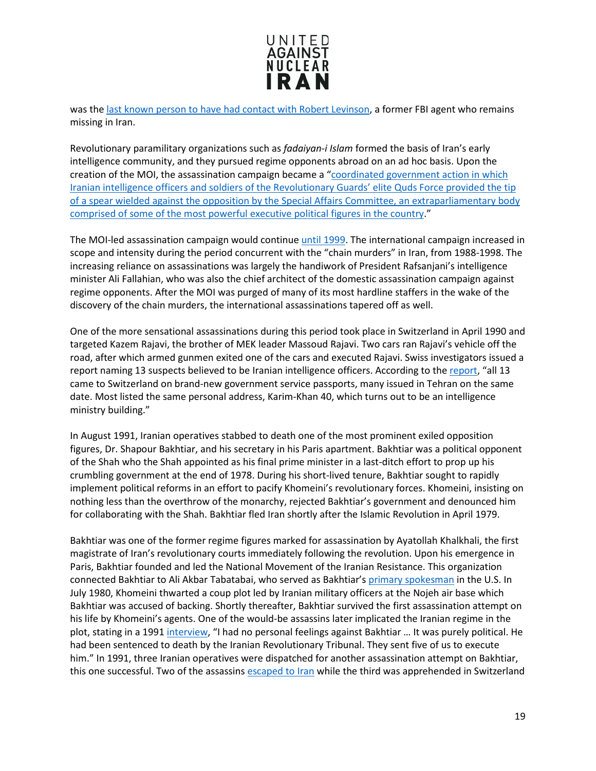

was th[e last known person to have had contact with Robert Levinson,](https://www.washingtonpost.com/world/national-security/2-americans-believed-detained-in-iran-are-not-among-those-coming-home/2016/01/16/1242d488-bc73-11e5-99f3-184bc379b12d_story.html?utm_term=.3b3b7e457158) a former FBI agent who remains missing in Iran.

Revolutionary paramilitary organizations such as *fadaiyan-i Islam* formed the basis of Iran's early intelligence community, and they pursued regime opponents abroad on an ad hoc basis. Upon the creation of the MOI, the assassination campaign became a ["coordinated government action in which](https://iranhrdc.org/no-safe-haven-irans-global-assassination-campaign/)  [Iranian intelligence officers and soldiers of the Revolutionary Guards' elite Quds Force provided the tip](https://iranhrdc.org/no-safe-haven-irans-global-assassination-campaign/)  [of a spear wielded against the opposition by the Special Affairs Committee, an extraparliamentary body](https://iranhrdc.org/no-safe-haven-irans-global-assassination-campaign/)  [comprised of some of the most powerful executive political figures in the country.](https://iranhrdc.org/no-safe-haven-irans-global-assassination-campaign/)"

The MOI-led assassination campaign would continu[e until 1999.](https://edoc.tips/download/philip-h-j-davies-kristian-c-gustafson-intelligence-elsewhere-spies_pdf) The international campaign increased in scope and intensity during the period concurrent with the "chain murders" in Iran, from 1988-1998. The increasing reliance on assassinations was largely the handiwork of President Rafsanjani's intelligence minister Ali Fallahian, who was also the chief architect of the domestic assassination campaign against regime opponents. After the MOI was purged of many of its most hardline staffers in the wake of the discovery of the chain murders, the international assassinations tapered off as well.

One of the more sensational assassinations during this period took place in Switzerland in April 1990 and targeted Kazem Rajavi, the brother of MEK leader Massoud Rajavi. Two cars ran Rajavi's vehicle off the road, after which armed gunmen exited one of the cars and executed Rajavi. Swiss investigators issued a report naming 13 suspects believed to be Iranian intelligence officers. According to the [report,](https://books.google.com/books?id=UgoxCgAAQBAJ&pg=PA67&lpg=PA67&dq=iran+embassy+cultural+centers+europe&source=bl&ots=HA6z1XF48r&sig=UhhB4soYdbkmJId9VSPgLyvCc3o&hl=en&sa=X&ved=0ahUKEwjn2cKb0bDYAhUhneAKHYSxAfY4ChDoAQgzMAI#v=onepage&q=mykonos&f=false) "all 13 came to Switzerland on brand-new government service passports, many issued in Tehran on the same date. Most listed the same personal address, Karim-Khan 40, which turns out to be an intelligence ministry building."

In August 1991, Iranian operatives stabbed to death one of the most prominent exiled opposition figures, Dr. Shapour Bakhtiar, and his secretary in his Paris apartment. Bakhtiar was a political opponent of the Shah who the Shah appointed as his final prime minister in a last-ditch effort to prop up his crumbling government at the end of 1978. During his short-lived tenure, Bakhtiar sought to rapidly implement political reforms in an effort to pacify Khomeini's revolutionary forces. Khomeini, insisting on nothing less than the overthrow of the monarchy, rejected Bakhtiar's government and denounced him for collaborating with the Shah. Bakhtiar fled Iran shortly after the Islamic Revolution in April 1979.

Bakhtiar was one of the former regime figures marked for assassination by Ayatollah Khalkhali, the first magistrate of Iran's revolutionary courts immediately following the revolution. Upon his emergence in Paris, Bakhtiar founded and led the National Movement of the Iranian Resistance. This organization connected Bakhtiar to Ali Akbar Tabatabai, who served as Bakhtiar'[s primary spokesman](https://www.washingtonpost.com/archive/lifestyle/magazine/1996/08/25/the-lone-assassin/79a2ba00-e318-42e3-94cb-d26db6972e35/?noredirect=on&utm_term=.a44c93abc73e) in the U.S. In July 1980, Khomeini thwarted a coup plot led by Iranian military officers at the Nojeh air base which Bakhtiar was accused of backing. Shortly thereafter, Bakhtiar survived the first assassination attempt on his life by Khomeini's agents. One of the would-be assassins later implicated the Iranian regime in the plot, stating in a 1991 [interview,](https://ctc.usma.edu/irans-deadly-diplomats/) "I had no personal feelings against Bakhtiar ... It was purely political. He had been sentenced to death by the Iranian Revolutionary Tribunal. They sent five of us to execute him." In 1991, three Iranian operatives were dispatched for another assassination attempt on Bakhtiar, this one successful. Two of the assassins [escaped to Iran](https://www.pbs.org/wgbh/pages/frontline/tehranbureau/2011/01/the-chain-murders-killing-dissidents-and-intellectuals-1988-1998.html) while the third was apprehended in Switzerland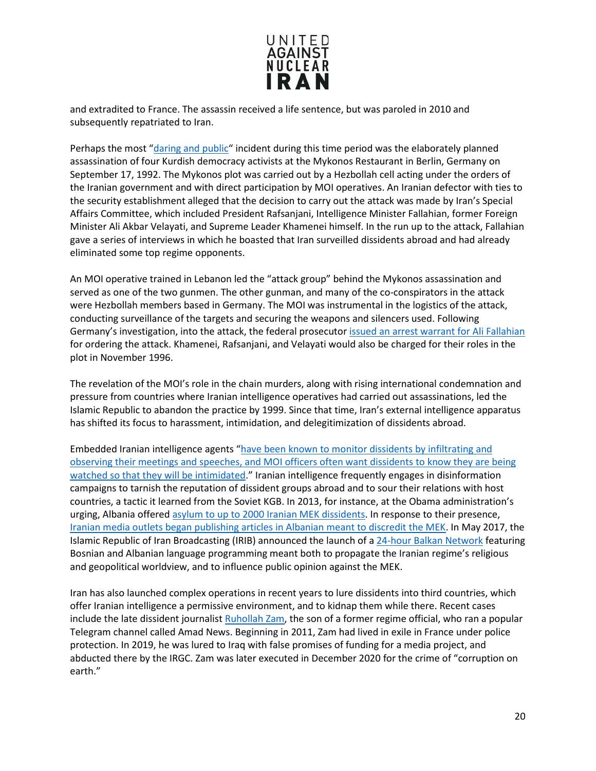

and extradited to France. The assassin received a life sentence, but was paroled in 2010 and subsequently repatriated to Iran.

Perhaps the most ["daring and public"](https://books.google.com/books?id=UgoxCgAAQBAJ&pg=PA67&lpg=PA67&dq=iran+embassy+cultural+centers+europe&source=bl&ots=HA6z1XF48r&sig=UhhB4soYdbkmJId9VSPgLyvCc3o&hl=en&sa=X&ved=0ahUKEwjn2cKb0bDYAhUhneAKHYSxAfY4ChDoAQgzMAI#v=onepage&q=iran%20embassy%20cultural%20centers%20europe&f=false) incident during this time period was the elaborately planned assassination of four Kurdish democracy activists at the Mykonos Restaurant in Berlin, Germany on September 17, 1992. The Mykonos plot was carried out by a Hezbollah cell acting under the orders of the Iranian government and with direct participation by MOI operatives. An Iranian defector with ties to the security establishment alleged that the decision to carry out the attack was made by Iran's Special Affairs Committee, which included President Rafsanjani, Intelligence Minister Fallahian, former Foreign Minister Ali Akbar Velayati, and Supreme Leader Khamenei himself. In the run up to the attack, Fallahian gave a series of interviews in which he boasted that Iran surveilled dissidents abroad and had already eliminated some top regime opponents.

An MOI operative trained in Lebanon led the "attack group" behind the Mykonos assassination and served as one of the two gunmen. The other gunman, and many of the co-conspirators in the attack were Hezbollah members based in Germany. The MOI was instrumental in the logistics of the attack, conducting surveillance of the targets and securing the weapons and silencers used. Following Germany's investigation, into the attack, the federal prosecutor [issued an arrest warrant](https://fas.org/irp/world/iran/mois-loc.pdf) for Ali Fallahian for ordering the attack. Khamenei, Rafsanjani, and Velayati would also be charged for their roles in the plot in November 1996.

The revelation of the MOI's role in the chain murders, along with rising international condemnation and pressure from countries where Iranian intelligence operatives had carried out assassinations, led the Islamic Republic to abandon the practice by 1999. Since that time, Iran's external intelligence apparatus has shifted its focus to harassment, intimidation, and delegitimization of dissidents abroad.

Embedded Iranian intelligence agents ["have been known to monitor dissidents by infiltrating and](https://worldview.stratfor.com/article/special-series-iranian-intelligence-and-regime-preservation)  [observing their meetings and speeches, and MOI officers often want dissidents to know they are being](https://worldview.stratfor.com/article/special-series-iranian-intelligence-and-regime-preservation)  [watched so that they will be intimidated.](https://worldview.stratfor.com/article/special-series-iranian-intelligence-and-regime-preservation)" Iranian intelligence frequently engages in disinformation campaigns to tarnish the reputation of dissident groups abroad and to sour their relations with host countries, a tactic it learned from the Soviet KGB. In 2013, for instance, at the Obama administration's urging, Albania offered [asylum to up to 2000 Iranian MEK dissidents.](http://www.balkanalysis.com/blog/2017/01/29/the-iranian-mek-in-albania-implications-and-possible-future-sectarian-divisions/) In response to their presence, [Iranian media outlets began publishing articles in Albanian meant to discredit the MEK.](http://iranprobe.com/explore/articles/iran-launches-albanian-media-to-target-dissident-exiles.html) In May 2017, the Islamic Republic of Iran Broadcasting (IRIB) announced the launch of a [24-hour Balkan Network](http://iranprobe.com/explore/news/iran-reveals-its-malicious-intentions-in-balkans.html) featuring Bosnian and Albanian language programming meant both to propagate the Iranian regime's religious and geopolitical worldview, and to influence public opinion against the MEK.

Iran has also launched complex operations in recent years to lure dissidents into third countries, which offer Iranian intelligence a permissive environment, and to kidnap them while there. Recent cases include the late dissident journalist [Ruhollah Zam,](https://www.nytimes.com/2020/12/12/world/europe/iran-execution-Ruhollah-Zam.html) the son of a former regime official, who ran a popular Telegram channel called Amad News. Beginning in 2011, Zam had lived in exile in France under police protection. In 2019, he was lured to Iraq with false promises of funding for a media project, and abducted there by the IRGC. Zam was later executed in December 2020 for the crime of "corruption on earth."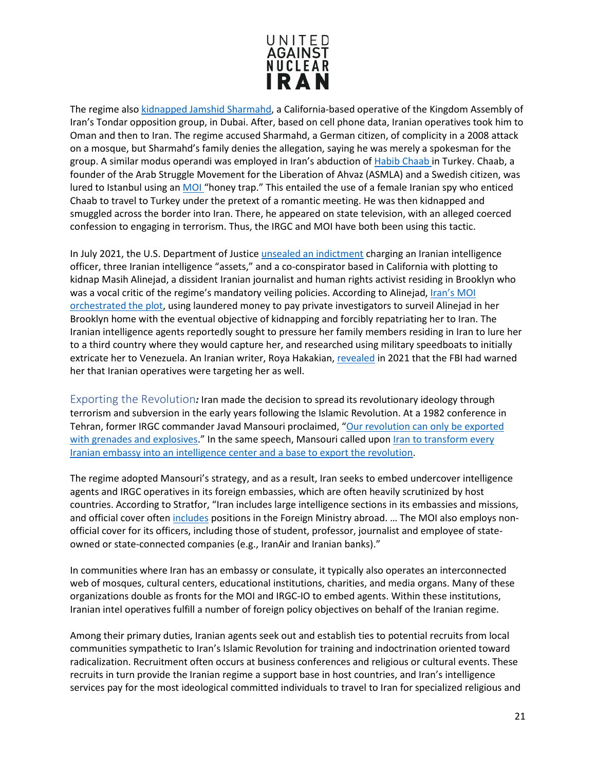

The regime also kidnapped [Jamshid Sharmahd,](https://www.voanews.com/middle-east/voa-news-iran/family-tells-ap-iran-abducted-california-man-while-dubai) a California-based operative of the Kingdom Assembly of Iran's Tondar opposition group, in Dubai. After, based on cell phone data, Iranian operatives took him to Oman and then to Iran. The regime accused Sharmahd, a German citizen, of complicity in a 2008 attack on a mosque, but Sharmahd's family denies the allegation, saying he was merely a spokesman for the group. A similar modus operandi was employed in Iran's abduction of [Habib Chaab](https://news.sky.com/story/habib-chaab-files-show-how-dissident-was-kidnapped-in-turkey-after-honeytrap-plot-by-iran-12164228) in Turkey. Chaab, a founder of the Arab Struggle Movement for the Liberation of Ahvaz (ASMLA) and a Swedish citizen, was lured to Istanbul using an [MOI](https://www.reuters.com/article/iran-security-arrest-turkey-int/turkey-detains-11-over-abduction-of-iranian-dissident-police-idUSKBN28O1HD) "honey trap." This entailed the use of a female Iranian spy who enticed Chaab to travel to Turkey under the pretext of a romantic meeting. He was then kidnapped and smuggled across the border into Iran. There, he appeared on state television, with an alleged coerced confession to engaging in terrorism. Thus, the IRGC and MOI have both been using this tactic.

In July 2021, the U.S. Department of Justic[e unsealed an indictment](https://www.justice.gov/usao-sdny/pr/manhattan-us-attorney-announces-kidnapping-conspiracy-charges-against-iranian) charging an Iranian intelligence officer, three Iranian intelligence "assets," and a co-conspirator based in California with plotting to kidnap Masih Alinejad, a dissident Iranian journalist and human rights activist residing in Brooklyn who was a vocal critic of the regime's mandatory veiling policies. According to Alinejad, Iran's MOI [orchestrated the plot,](https://www.washingtonpost.com/world/2021/07/14/iran-journalist-kidnapping-alinejad/) using laundered money to pay private investigators to surveil Alinejad in her Brooklyn home with the eventual objective of kidnapping and forcibly repatriating her to Iran. The Iranian intelligence agents reportedly sought to pressure her family members residing in Iran to lure her to a third country where they would capture her, and researched using military speedboats to initially extricate her to Venezuela. An Iranian writer, Roya Hakakian[, revealed](https://www.nybooks.com/daily/2021/08/22/irans-killers-in-our-midst/) in 2021 that the FBI had warned her that Iranian operatives were targeting her as well.

<span id="page-20-0"></span>Exporting the Revolution*:* Iran made the decision to spread its revolutionary ideology through terrorism and subversion in the early years following the Islamic Revolution. At a 1982 conference in Tehran, former IRGC commander Javad Mansouri proclaimed, "Our revolution can only be exported [with grenades and explosives.](https://www.longwarjournal.org/archives/2013/05/argentine_prosecutor.php)" In the same speech, Mansouri called upon Iran to transform every [Iranian embassy into an intelligence center and a base to export the revolution.](https://www.longwarjournal.org/archives/2013/05/argentine_prosecutor.php)

The regime adopted Mansouri's strategy, and as a result, Iran seeks to embed undercover intelligence agents and IRGC operatives in its foreign embassies, which are often heavily scrutinized by host countries. According to Stratfor, "Iran includes large intelligence sections in its embassies and missions, and official cover ofte[n includes](https://worldview.stratfor.com/article/special-series-iranian-intelligence-and-regime-preservation) positions in the Foreign Ministry abroad. ... The MOI also employs nonofficial cover for its officers, including those of student, professor, journalist and employee of stateowned or state-connected companies (e.g., IranAir and Iranian banks)."

In communities where Iran has an embassy or consulate, it typically also operates an interconnected web of mosques, cultural centers, educational institutions, charities, and media organs. Many of these organizations double as fronts for the MOI and IRGC-IO to embed agents. Within these institutions, Iranian intel operatives fulfill a number of foreign policy objectives on behalf of the Iranian regime.

Among their primary duties, Iranian agents seek out and establish ties to potential recruits from local communities sympathetic to Iran's Islamic Revolution for training and indoctrination oriented toward radicalization. Recruitment often occurs at business conferences and religious or cultural events. These recruits in turn provide the Iranian regime a support base in host countries, and Iran's intelligence services pay for the most ideological committed individuals to travel to Iran for specialized religious and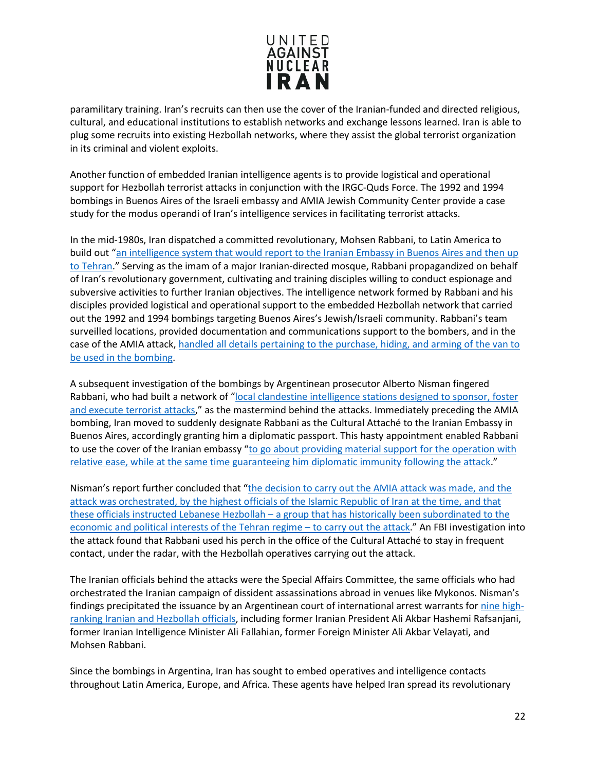

paramilitary training. Iran's recruits can then use the cover of the Iranian-funded and directed religious, cultural, and educational institutions to establish networks and exchange lessons learned. Iran is able to plug some recruits into existing Hezbollah networks, where they assist the global terrorist organization in its criminal and violent exploits.

Another function of embedded Iranian intelligence agents is to provide logistical and operational support for Hezbollah terrorist attacks in conjunction with the IRGC-Quds Force. The 1992 and 1994 bombings in Buenos Aires of the Israeli embassy and AMIA Jewish Community Center provide a case study for the modus operandi of Iran's intelligence services in facilitating terrorist attacks.

In the mid-1980s, Iran dispatched a committed revolutionary, Mohsen Rabbani, to Latin America to build out ["an intelligence system that would report to the Iranian Embassy in Buenos Aires and then up](http://docs.house.gov/meetings/FA/FA07/20150318/103177/HHRG-114-FA07-Wstate-HumireJ-20150318.pdf)  [to Tehran.](http://docs.house.gov/meetings/FA/FA07/20150318/103177/HHRG-114-FA07-Wstate-HumireJ-20150318.pdf)" Serving as the imam of a major Iranian-directed mosque, Rabbani propagandized on behalf of Iran's revolutionary government, cultivating and training disciples willing to conduct espionage and subversive activities to further Iranian objectives. The intelligence network formed by Rabbani and his disciples provided logistical and operational support to the embedded Hezbollah network that carried out the 1992 and 1994 bombings targeting Buenos Aires's Jewish/Israeli community. Rabbani's team surveilled locations, provided documentation and communications support to the bombers, and in the case of the AMIA attack[, handled all details pertaining to the purchase, hiding, and arming of the van to](https://books.google.com/books?id=6QsxCgAAQBAJ&pg=PA86&lpg=PA86&dq=rabbani+renault&source=bl&ots=UM_GwjVNS_&sig=4B7Rjq9kRjEVXw3CD7DqT21zZ3I&hl=en&sa=X&ved=0ahUKEwiotavBloHXAhVL4iYKHQkxBRwQ6AEIPTAI#v=onepage&q=rabbani%20renault&f=false)  [be used in the bombing.](https://books.google.com/books?id=6QsxCgAAQBAJ&pg=PA86&lpg=PA86&dq=rabbani+renault&source=bl&ots=UM_GwjVNS_&sig=4B7Rjq9kRjEVXw3CD7DqT21zZ3I&hl=en&sa=X&ved=0ahUKEwiotavBloHXAhVL4iYKHQkxBRwQ6AEIPTAI#v=onepage&q=rabbani%20renault&f=false)

A subsequent investigation of the bombings by Argentinean prosecutor Alberto Nisman fingered Rabbani, who had built a network of ["local clandestine intelligence stations designed to sponsor, foster](http://www.defenddemocracy.org/content/uploads/documents/summary_(31_pages).pdf)  [and execute terrorist attacks,](http://www.defenddemocracy.org/content/uploads/documents/summary_(31_pages).pdf)" as the mastermind behind the attacks. Immediately preceding the AMIA bombing, Iran moved to suddenly designate Rabbani as the Cultural Attaché to the Iranian Embassy in Buenos Aires, accordingly granting him a diplomatic passport. This hasty appointment enabled Rabbani to use the cover of the Iranian embassy "to go about providing material support for the operation with [relative ease, while at the same time guaranteeing him diplomatic immunity following the attack.](https://books.google.com/books?id=6QsxCgAAQBAJ&pg=PA86&lpg=PA86&dq=rabbani+renault&source=bl&ots=UM_GwjVNS_&sig=4B7Rjq9kRjEVXw3CD7DqT21zZ3I&hl=en&sa=X&ved=0ahUKEwiotavBloHXAhVL4iYKHQkxBRwQ6AEIPTAI#v=onepage&q=rabbani%20renault&f=false)"

Nisman's report further concluded that ["the decision to carry out the AMIA attack was made, and the](http://www.peaceandtolerance.org/wp-content/uploads/sites/4/2015/01/nismanindict.pdf)  [attack was orchestrated, by the highest officials of the Islamic Republic of Iran at the time, and that](http://www.peaceandtolerance.org/wp-content/uploads/sites/4/2015/01/nismanindict.pdf)  these officials instructed Lebanese Hezbollah - a group that has historically been subordinated to the [economic and political interests of the Tehran regime – to carry out the attack.](http://www.peaceandtolerance.org/wp-content/uploads/sites/4/2015/01/nismanindict.pdf)" An FBI investigation into the attack found that Rabbani used his perch in the office of the Cultural Attaché to stay in frequent contact, under the radar, with the Hezbollah operatives carrying out the attack.

The Iranian officials behind the attacks were the Special Affairs Committee, the same officials who had orchestrated the Iranian campaign of dissident assassinations abroad in venues like Mykonos. Nisman's findings precipitated the issuance by an Argentinean court of international arrest warrants for [nine high](https://www.google.com/search?q=rabbani+vahidi+rafsanjani&source=lnms&tbm=isch&sa=X&ved=0ahUKEwi6_Jeq1IXXAhWs5oMKHYraAz0Q_AUICigB&biw=1707&bih=816&dpr=1.13#imgrc=bp7QCeS-MqhpgM:)[ranking Iranian and Hezbollah officials,](https://www.google.com/search?q=rabbani+vahidi+rafsanjani&source=lnms&tbm=isch&sa=X&ved=0ahUKEwi6_Jeq1IXXAhWs5oMKHYraAz0Q_AUICigB&biw=1707&bih=816&dpr=1.13#imgrc=bp7QCeS-MqhpgM:) including former Iranian President Ali Akbar Hashemi Rafsanjani, former Iranian Intelligence Minister Ali Fallahian, former Foreign Minister Ali Akbar Velayati, and Mohsen Rabbani.

Since the bombings in Argentina, Iran has sought to embed operatives and intelligence contacts throughout Latin America, Europe, and Africa. These agents have helped Iran spread its revolutionary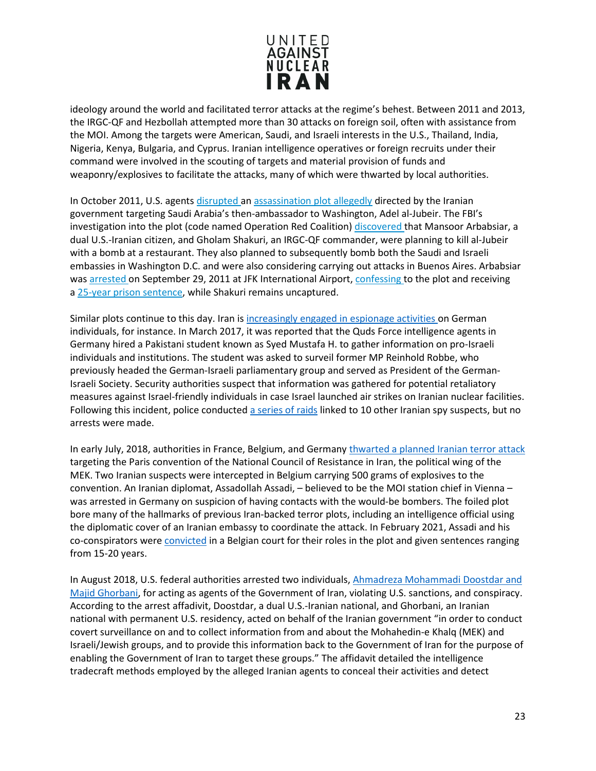

ideology around the world and facilitated terror attacks at the regime's behest. Between 2011 and 2013, the IRGC-QF and Hezbollah attempted more than 30 attacks on foreign soil, often with assistance from the MOI. Among the targets were American, Saudi, and Israeli interests in the U.S., Thailand, India, Nigeria, Kenya, Bulgaria, and Cyprus. Iranian intelligence operatives or foreign recruits under their command were involved in the scouting of targets and material provision of funds and weaponry/explosives to facilitate the attacks, many of which were thwarted by local authorities.

In October 2011, U.S. agents [disrupted](http://www.justice.gov/opa/pr/2011/October/11-ag-1339.html) an [assassination plot](http://i2.cdn.turner.com/cnn/2011/images/10/11/complaint.amended.pdf) allegedly directed by the Iranian government targeting Saudi Arabia's then-ambassador to Washington, Adel al-Jubeir. The FBI's investigation into the plot (code named Operation Red Coalition) [discovered](http://www.washingtoninstitute.org/policy-analysis/view/tehrans-unlikely-assassins) that Mansoor Arbabsiar, a dual U.S.-Iranian citizen, and Gholam Shakuri, an IRGC-QF commander, were planning to kill al-Jubeir with a bomb at a restaurant. They also planned to subsequently bomb both the Saudi and Israeli embassies in Washington D.C. and were also considering carrying out attacks in Buenos Aires. Arbabsiar was [arrested](http://www.businessweek.com/news/2011-10-11/arbabsiar-held-without-bail-in-alleged-plot-to-kill-envoy.html) on September 29, 2011 at JFK International Airport, [confessing](http://www.justice.gov/opa/pr/2011/October/11-ag-1339.html) to the plot and receiving a 25-year prison [sentence,](http://www.cnn.com/2012/10/17/justice/new-york-saudi-assassination-plot/index.html) while Shakuri remains uncaptured.

Similar plots continue to this day. Iran is [increasingly engaged in espionage activities o](http://www.dw.com/en/iran-suspected-of-increasing-espionage-in-germany/a-42229310)n German individuals, for instance. In March 2017, it was reported that the Quds Force intelligence agents in Germany hired a Pakistani student known as Syed Mustafa H. to gather information on pro-Israeli individuals and institutions. The student was asked to surveil former MP Reinhold Robbe, who previously headed the German-Israeli parliamentary group and served as President of the German-Israeli Society. Security authorities suspect that information was gathered for potential retaliatory measures against Israel-friendly individuals in case Israel launched air strikes on Iranian nuclear facilities. Following this incident, police conducted [a series of raids](https://www.rferl.org/a/iran-germany-espionage-searches-quds-force/28978796.html) linked to 10 other Iranian spy suspects, but no arrests were made.

In early July, 2018, authorities in France, Belgium, and German[y thwarted a planned Iranian terror attack](https://www.express.co.uk/news/world/982682/terror-attack-Iran-bomb-plot-Free-Iran-rally-Paris-NCRI-diplomat-arrested) targeting the Paris convention of the National Council of Resistance in Iran, the political wing of the MEK. Two Iranian suspects were intercepted in Belgium carrying 500 grams of explosives to the convention. An Iranian diplomat, Assadollah Assadi, – believed to be the MOI station chief in Vienna – was arrested in Germany on suspicion of having contacts with the would-be bombers. The foiled plot bore many of the hallmarks of previous Iran-backed terror plots, including an intelligence official using the diplomatic cover of an Iranian embassy to coordinate the attack. In February 2021, Assadi and his co-conspirators were [convicted](https://www.bbc.com/news/world-europe-55931633) in a Belgian court for their roles in the plot and given sentences ranging from 15-20 years.

In August 2018, U.S. federal authorities arrested two individuals[, Ahmadreza Mohammadi Doostdar and](https://www.justice.gov/opa/press-release/file/1088521/download?utm_medium=email&utm_source=govdelivery)  [Majid Ghorbani,](https://www.justice.gov/opa/press-release/file/1088521/download?utm_medium=email&utm_source=govdelivery) for acting as agents of the Government of Iran, violating U.S. sanctions, and conspiracy. According to the arrest affadivit, Doostdar, a dual U.S.-Iranian national, and Ghorbani, an Iranian national with permanent U.S. residency, acted on behalf of the Iranian government "in order to conduct covert surveillance on and to collect information from and about the Mohahedin-e Khalq (MEK) and Israeli/Jewish groups, and to provide this information back to the Government of Iran for the purpose of enabling the Government of Iran to target these groups." The affidavit detailed the intelligence tradecraft methods employed by the alleged Iranian agents to conceal their activities and detect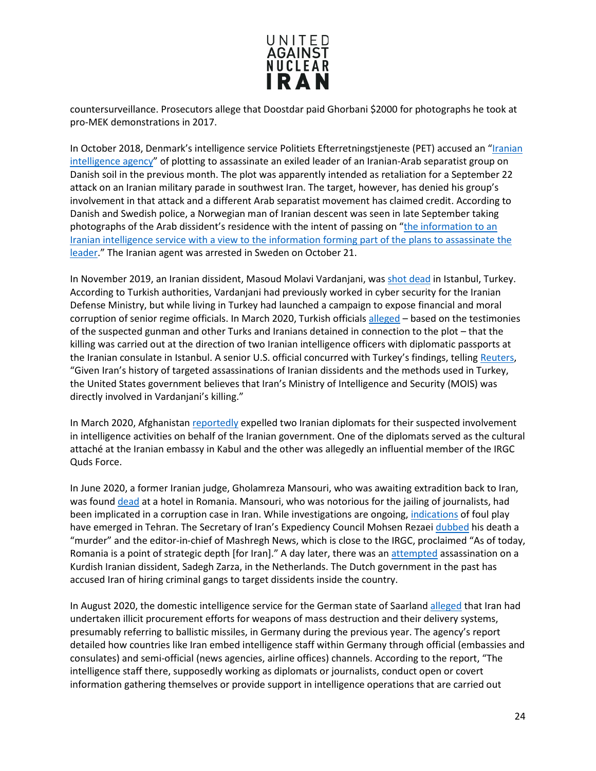

countersurveillance. Prosecutors allege that Doostdar paid Ghorbani \$2000 for photographs he took at pro-MEK demonstrations in 2017.

In October 2018, Denmark's intelligence service Politiets Efterretningstjeneste (PET) accused an "Iranian [intelligence agency"](https://www.bbc.com/news/world-europe-46043404) of plotting to assassinate an exiled leader of an Iranian-Arab separatist group on Danish soil in the previous month. The plot was apparently intended as retaliation for a September 22 attack on an Iranian military parade in southwest Iran. The target, however, has denied his group's involvement in that attack and a different Arab separatist movement has claimed credit. According to Danish and Swedish police, a Norwegian man of Iranian descent was seen in late September taking photographs of the Arab dissident's residence with the intent of passing on ["the information to an](https://www.nytimes.com/2018/11/01/world/europe/denmark-assassination-iran.html)  [Iranian intelligence service with a view to the information forming part of the plans to assassinate the](https://www.nytimes.com/2018/11/01/world/europe/denmark-assassination-iran.html)  [leader.](https://www.nytimes.com/2018/11/01/world/europe/denmark-assassination-iran.html)" The Iranian agent was arrested in Sweden on October 21.

In November 2019, an Iranian dissident, Masoud Molavi Vardanjani, was shot [dead](https://www.reuters.com/article/us-turkey-iran-killing-usa/us-believes-iran-was-directly-involved-in-killing-of-iranian-dissident-in-turkey-idUSKBN21K027) in Istanbul, Turkey. According to Turkish authorities, Vardanjani had previously worked in cyber security for the Iranian Defense Ministry, but while living in Turkey had launched a campaign to expose financial and moral corruption of senior regime officials. In March 2020, Turkish officials [alleged](https://www.nytimes.com/reuters/2020/03/27/world/middleeast/27reuters-turkey-iran-killing-exclusive.html) - based on the testimonies of the suspected gunman and other Turks and Iranians detained in connection to the plot – that the killing was carried out at the direction of two Iranian intelligence officers with diplomatic passports at the Iranian consulate in Istanbul. A senior U.S. official concurred with Turkey's findings, tellin[g Reuters,](https://www.reuters.com/article/us-turkey-iran-killing-usa/us-believes-iran-was-directly-involved-in-killing-of-iranian-dissident-in-turkey-idUSKBN21K027) "Given Iran's history of targeted assassinations of Iranian dissidents and the methods used in Turkey, the United States government believes that Iran's Ministry of Intelligence and Security (MOIS) was directly involved in Vardanjani's killing."

In March 2020, Afghanistan [reportedly](https://www.outlookindia.com/newsscroll/afghan-govt-expels-2-iranian-diplomats-report/1773918) expelled two Iranian diplomats for their suspected involvement in intelligence activities on behalf of the Iranian government. One of the diplomats served as the cultural attaché at the Iranian embassy in Kabul and the other was allegedly an influential member of the IRGC Quds Force.

In June 2020, a former Iranian judge, Gholamreza Mansouri, who was awaiting extradition back to Iran, was found [dead](https://en.radiofarda.com/a/who-benefits-from-the-death-of-fugitive-iran-judge/30681467.html) at a hotel in Romania. Mansouri, who was notorious for the jailing of journalists, had been implicated in a corruption case in Iran. While investigations are ongoing, [indications](https://english.alarabiya.net/en/News/middle-east/2020/06/20/Senior-Iran-official-refers-to-ex-judge-Mansouri-s-death-in-Romania-as-murder-) of foul play have emerged in Tehran. The Secretary of Iran's Expediency Council Mohsen Rezaei [dubbed](https://english.alarabiya.net/en/News/middle-east/2020/06/20/Senior-Iran-official-refers-to-ex-judge-Mansouri-s-death-in-Romania-as-murder-) his death a "murder" and the editor-in-chief of Mashregh News, which is close to the IRGC, proclaimed "As of today, Romania is a point of strategic depth [for Iran]." A day later, there was an [attempted](https://www.kurdistan24.net/en/news/adaaa1df-6511-43c2-924b-46cfc2f717e3) assassination on a Kurdish Iranian dissident, Sadegh Zarza, in the Netherlands. The Dutch government in the past has accused Iran of hiring criminal gangs to target dissidents inside the country.

In August 2020, the domestic intelligence service for the German state of Saarland [alleged](https://www.jpost.com/middle-east/iran-news/more-german-intel-confirms-iran-seeks-tech-for-weapons-of-mass-destruction-640243) that Iran had undertaken illicit procurement efforts for weapons of mass destruction and their delivery systems, presumably referring to ballistic missiles, in Germany during the previous year. The agency's report detailed how countries like Iran embed intelligence staff within Germany through official (embassies and consulates) and semi-official (news agencies, airline offices) channels. According to the report, "The intelligence staff there, supposedly working as diplomats or journalists, conduct open or covert information gathering themselves or provide support in intelligence operations that are carried out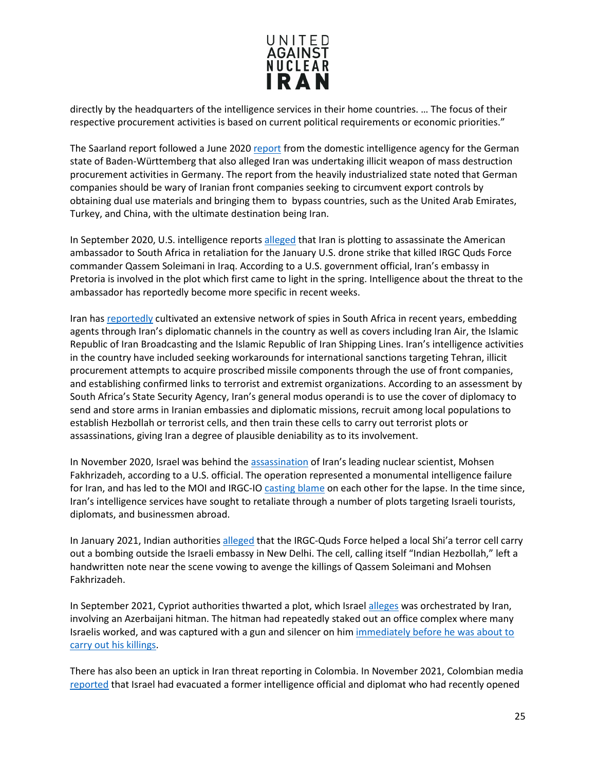

directly by the headquarters of the intelligence services in their home countries. … The focus of their respective procurement activities is based on current political requirements or economic priorities."

The Saarland report followed a June 202[0 report](https://www.foxnews.com/world/iran-weapons-mass-destruction-germany) from the domestic intelligence agency for the German state of Baden-Württemberg that also alleged Iran was undertaking illicit weapon of mass destruction procurement activities in Germany. The report from the heavily industrialized state noted that German companies should be wary of Iranian front companies seeking to circumvent export controls by obtaining dual use materials and bringing them to bypass countries, such as the United Arab Emirates, Turkey, and China, with the ultimate destination being Iran.

In September 2020, U.S. intelligence reports [alleged](https://www.politico.com/news/2020/09/13/iran-south-africa-ambassador-assassination-plot-413831) that Iran is plotting to assassinate the American ambassador to South Africa in retaliation for the January U.S. drone strike that killed IRGC Quds Force commander Qassem Soleimani in Iraq. According to a U.S. government official, Iran's embassy in Pretoria is involved in the plot which first came to light in the spring. Intelligence about the threat to the ambassador has reportedly become more specific in recent weeks.

Iran has [reportedly](https://www.aljazeera.com/news/2015/02/spy-cables-south-africa-spies-iran-operations-guardian-ssa-tehran-undercover-carpet--150219184023503.html) cultivated an extensive network of spies in South Africa in recent years, embedding agents through Iran's diplomatic channels in the country as well as covers including Iran Air, the Islamic Republic of Iran Broadcasting and the Islamic Republic of Iran Shipping Lines. Iran's intelligence activities in the country have included seeking workarounds for international sanctions targeting Tehran, illicit procurement attempts to acquire proscribed missile components through the use of front companies, and establishing confirmed links to terrorist and extremist organizations. According to an assessment by South Africa's State Security Agency, Iran's general modus operandi is to use the cover of diplomacy to send and store arms in Iranian embassies and diplomatic missions, recruit among local populations to establish Hezbollah or terrorist cells, and then train these cells to carry out terrorist plots or assassinations, giving Iran a degree of plausible deniability as to its involvement.

In November 2020, Israel was behind the [assassination](https://www.cnn.com/2020/12/02/politics/iran-scientist-israel-assassination-us/index.html) of Iran's leading nuclear scientist, Mohsen Fakhrizadeh, according to a U.S. official. The operation represented a monumental intelligence failure for Iran, and has led to the MOI and IRGC-IO [casting blame](https://www.thedailybeast.com/iran-cant-get-its-story-straight-on-assassination-of-top-nuclear-scientist-mohsen-fakhrizadeh) on each other for the lapse. In the time since, Iran's intelligence services have sought to retaliate through a number of plots targeting Israeli tourists, diplomats, and businessmen abroad.

In January 2021, Indian authorities [alleged](https://www.timesofisrael.com/india-said-to-blame-irans-quds-force-for-blast-outside-israeli-embassy/) that the IRGC-Quds Force helped a local Shi'a terror cell carry out a bombing outside the Israeli embassy in New Delhi. The cell, calling itself "Indian Hezbollah," left a handwritten note near the scene vowing to avenge the killings of Qassem Soleimani and Mohsen Fakhrizadeh.

In September 2021, Cypriot authorities thwarted a plot, which Israel [alleges](https://www.timesofisrael.com/azerbaijani-hitman-said-at-center-of-iran-plot-to-attack-israelis-in-cyprus/) was orchestrated by Iran, involving an Azerbaijani hitman. The hitman had repeatedly staked out an office complex where many Israelis worked, and was captured with a gun and silencer on him [immediately before he was about to](https://apnews.com/article/middle-east-israel-europe-cyprus-846369957ffceed041d95620ea056e5a)  [carry out his killings.](https://apnews.com/article/middle-east-israel-europe-cyprus-846369957ffceed041d95620ea056e5a)

There has also been an uptick in Iran threat reporting in Colombia. In November 2021, Colombian media [reported](https://www.haaretz.com/israel-news/israel-extracts-ex-intel-official-from-colombia-amid-hezbollah-threats-report-says-1.10385649) that Israel had evacuated a former intelligence official and diplomat who had recently opened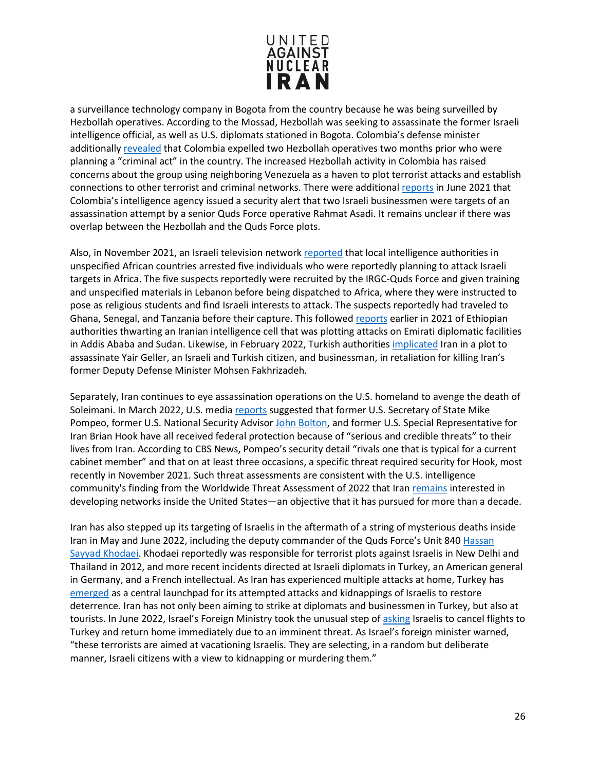

a surveillance technology company in Bogota from the country because he was being surveilled by Hezbollah operatives. According to the Mossad, Hezbollah was seeking to assassinate the former Israeli intelligence official, as well as U.S. diplomats stationed in Bogota. Colombia's defense minister additionally [revealed](https://www.jpost.com/international/two-hezbollah-members-arrested-in-colombia-says-defense-minister-685000https:/www.jpost.com/international/two-hezbollah-members-arrested-in-colombia-says-defense-minister-685000) that Colombia expelled two Hezbollah operatives two months prior who were planning a "criminal act" in the country. The increased Hezbollah activity in Colombia has raised concerns about the group using neighboring Venezuela as a haven to plot terrorist attacks and establish connections to other terrorist and criminal networks. There were additional [reports](https://www.algemeiner.com/2021/10/04/another-iranian-foreign-assassination-campaign-emerges-in-colombia/) in June 2021 that Colombia's intelligence agency issued a security alert that two Israeli businessmen were targets of an assassination attempt by a senior Quds Force operative Rahmat Asadi. It remains unclear if there was overlap between the Hezbollah and the Quds Force plots.

Also, in November 2021, an Israeli television networ[k reported](https://www.timesofisrael.com/iranian-plot-to-attack-israelis-jews-said-foiled-in-africa/) that local intelligence authorities in unspecified African countries arrested five individuals who were reportedly planning to attack Israeli targets in Africa. The five suspects reportedly were recruited by the IRGC-Quds Force and given training and unspecified materials in Lebanon before being dispatched to Africa, where they were instructed to pose as religious students and find Israeli interests to attack. The suspects reportedly had traveled to Ghana, Senegal, and Tanzania before their capture. This followe[d reports](https://www.nytimes.com/2021/02/15/world/africa/iran-ethiopia-plot.html) earlier in 2021 of Ethiopian authorities thwarting an Iranian intelligence cell that was plotting attacks on Emirati diplomatic facilities in Addis Ababa and Sudan. Likewise, in February 2022, Turkish authorities [implicated](https://www.haaretz.com/israel-news/turkey-foils-plot-to-assassinate-israeli-businessman-report-says-1.10606304) Iran in a plot to assassinate Yair Geller, an Israeli and Turkish citizen, and businessman, in retaliation for killing Iran's former Deputy Defense Minister Mohsen Fakhrizadeh.

Separately, Iran continues to eye assassination operations on the U.S. homeland to avenge the death of Soleimani. In March 2022, U.S. medi[a reports](https://www.cbsnews.com/news/iran-threats-pompeo-nuclear-deal/) suggested that former U.S. Secretary of State Mike Pompeo, former U.S. National Security Advisor [John Bolton,](https://www.washingtonexaminer.com/restoring-america/courage-strength-optimism/iran-plotting-assassination-of-john-bolton-others-even-while-biden-negotiates-nuclear-deal) and former U.S. Special Representative for Iran Brian Hook have all received federal protection because of "serious and credible threats" to their lives from Iran. According to CBS News, Pompeo's security detail "rivals one that is typical for a current cabinet member" and that on at least three occasions, a specific threat required security for Hook, most recently in November 2021. Such threat assessments are consistent with the U.S. intelligence community's finding from the Worldwide Threat Assessment of 2022 that Ira[n remains](https://docs.house.gov/meetings/IG/IG00/20220308/114469/HHRG-117-IG00-Wstate-HainesA-20220308.pdf) interested in developing networks inside the United States—an objective that it has pursued for more than a decade.

Iran has also stepped up its targeting of Israelis in the aftermath of a string of mysterious deaths inside Iran in May and June 2022, including the deputy commander of the Quds Force's Unit 840 Hassan [Sayyad Khodaei.](https://www.unitedagainstnucleariran.com/blog/who-was-col-hassan-sayyad-khodaei) Khodaei reportedly was responsible for terrorist plots against Israelis in New Delhi and Thailand in 2012, and more recent incidents directed at Israeli diplomats in Turkey, an American general in Germany, and a French intellectual. As Iran has experienced multiple attacks at home, Turkey has [emerged](https://www.reuters.com/world/middle-east/israel-urges-its-citizens-istanbul-leave-heightening-travel-warning-2022-06-13/) as a central launchpad for its attempted attacks and kidnappings of Israelis to restore deterrence. Iran has not only been aiming to strike at diplomats and businessmen in Turkey, but also at tourists. In June 2022, Israel's Foreign Ministry took the unusual step o[f asking](https://www.reuters.com/world/middle-east/israel-urges-its-citizens-istanbul-leave-heightening-travel-warning-2022-06-13/) Israelis to cancel flights to Turkey and return home immediately due to an imminent threat. As Israel's foreign minister warned, "these terrorists are aimed at vacationing Israelis. They are selecting, in a random but deliberate manner, Israeli citizens with a view to kidnapping or murdering them."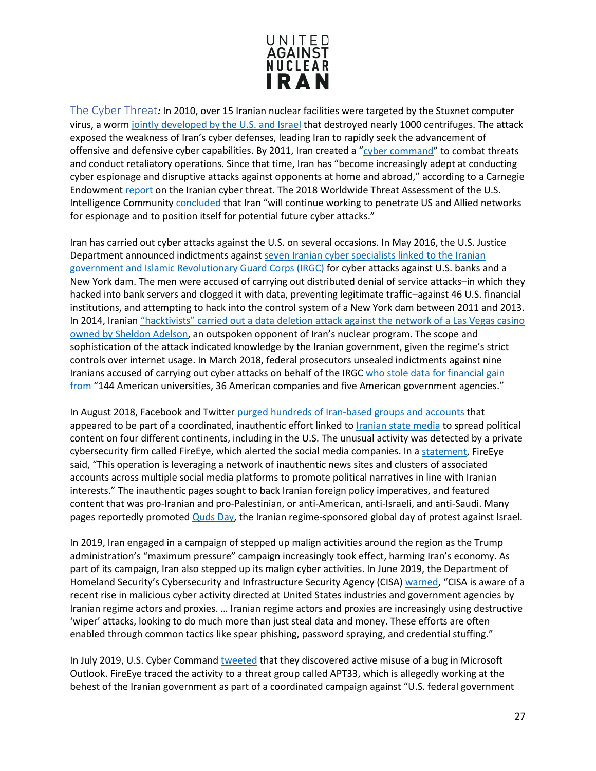

<span id="page-26-0"></span>The Cyber Threat*:* In 2010, over 15 Iranian nuclear facilities were targeted by the Stuxnet computer virus, a worm [jointly developed by the U.S. and Israel](https://www.businessinsider.com/stuxnet-was-far-more-dangerous-than-previous-thought-2013-11) that destroyed nearly 1000 centrifuges. The attack exposed the weakness of Iran's cyber defenses, leading Iran to rapidly seek the advancement of offensive and defensive cyber capabilities. By 2011, Iran created a ["cyber command"](http://www.ukdf.org.uk/assets/downloads/RS84CIraninsights-Iran%E2%80%99sintelligenceandsecurityapparatusx.pdf) to combat threats and conduct retaliatory operations. Since that time, Iran has "become increasingly adept at conducting cyber espionage and disruptive attacks against opponents at home and abroad," according to a Carnegie Endowment [report](https://carnegieendowment.org/2018/01/04/iran-s-cyber-threat-espionage-sabotage-and-revenge-pub-75134) on the Iranian cyber threat. The 2018 Worldwide Threat Assessment of the U.S. Intelligence Community [concluded](https://www.dni.gov/files/documents/Newsroom/Testimonies/2018-ATA---Unclassified-SSCI.pdf) that Iran "will continue working to penetrate US and Allied networks for espionage and to position itself for potential future cyber attacks."

Iran has carried out cyber attacks against the U.S. on several occasions. In May 2016, the U.S. Justice Department announced indictments agains[t seven Iranian cyber specialists linked to the Iranian](https://www.nbcnews.com/news/us-news/iranians-charged-hacking-attacks-u-s-banks-dam-n544801)  [government and Islamic Revolutionary Guard Corps \(IRGC\)](https://www.nbcnews.com/news/us-news/iranians-charged-hacking-attacks-u-s-banks-dam-n544801) for cyber attacks against U.S. banks and a New York dam. The men were accused of carrying out distributed denial of service attacks–in which they hacked into bank servers and clogged it with data, preventing legitimate traffic–against 46 U.S. financial institutions, and attempting to hack into the control system of a New York dam between 2011 and 2013. In 2014, Iranian "hacktivists" carried out a data deletion attack against the network of a Las Vegas casino [owned by Sheldon](https://www.bloomberg.com/news/articles/2014-12-11/iranian-hackers-hit-sheldon-adelsons-sands-casino-in-las-vegas) Adelson, an outspoken opponent of Iran's nuclear program. The scope and sophistication of the attack indicated knowledge by the Iranian government, given the regime's strict controls over internet usage. In March 2018, federal prosecutors unsealed indictments against nine Iranians accused of carrying out cyber attacks on behalf of the IRGC who stole data for financial gain [from](https://www.wsj.com/articles/u-s-charges-nine-iranians-with-cyber-attack-campaign-1521815253) "144 American universities, 36 American companies and five American government agencies."

In August 2018, Facebook and Twitte[r purged hundreds of Iran-based groups and accounts](https://www.nbcnews.com/news/amp/ncna902716) that appeared to be part of a coordinated, inauthentic effort linked to [Iranian state media](https://www.unitedagainstnucleariran.com/ideological-expansion/irans-media-empire) to spread political content on four different continents, including in the U.S. The unusual activity was detected by a private cybersecurity firm called FireEye, which alerted the social media companies. In [a statement,](https://www.fireeye.com/blog/threat-research/2018/08/suspected-iranian-influence-operation.html) FireEye said, "This operation is leveraging a network of inauthentic news sites and clusters of associated accounts across multiple social media platforms to promote political narratives in line with Iranian interests." The inauthentic pages sought to back Iranian foreign policy imperatives, and featured content that was pro-Iranian and pro-Palestinian, or anti-American, anti-Israeli, and anti-Saudi. Many pages reportedly promote[d Quds Day,](https://www.unitedagainstnucleariran.com/ideological-expansion/quds-day) the Iranian regime-sponsored global day of protest against Israel.

In 2019, Iran engaged in a campaign of stepped up malign activities around the region as the Trump administration's "maximum pressure" campaign increasingly took effect, harming Iran's economy. As part of its campaign, Iran also stepped up its malign cyber activities. In June 2019, the Department of Homeland Security's Cybersecurity and Infrastructure Security Agency (CISA) [warned,](https://www.dhs.gov/news/2019/06/22/cisa-statement-iranian-cybersecurity-threats) "CISA is aware of a recent rise in malicious cyber activity directed at United States industries and government agencies by Iranian regime actors and proxies. … Iranian regime actors and proxies are increasingly using destructive 'wiper' attacks, looking to do much more than just steal data and money. These efforts are often enabled through common tactics like spear phishing, password spraying, and credential stuffing."

In July 2019, U.S. Cyber Command [tweeted](https://www.defenseone.com/technology/2019/07/suspected-iranian-cyber-attacks-show-no-sign-slowing/158213/) that they discovered active misuse of a bug in Microsoft Outlook. FireEye traced the activity to a threat group called APT33, which is allegedly working at the behest of the Iranian government as part of a coordinated campaign against "U.S. federal government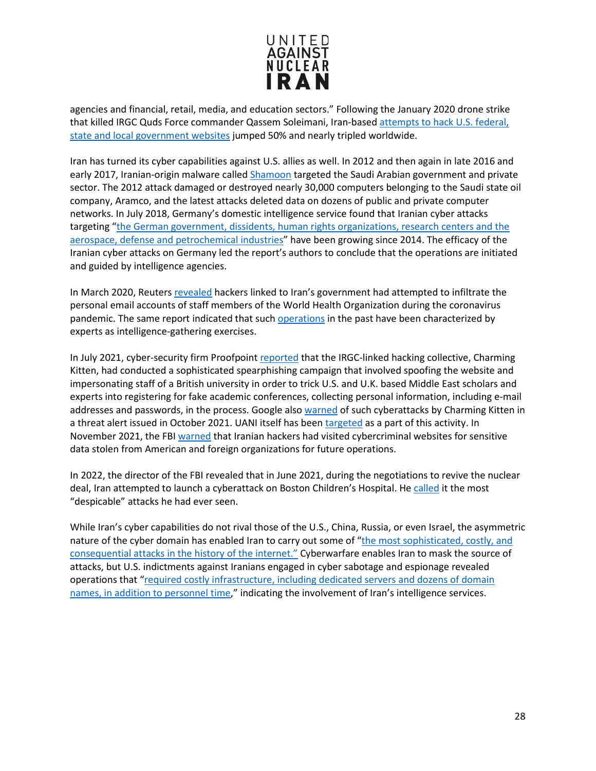

agencies and financial, retail, media, and education sectors." Following the January 2020 drone strike that killed IRGC Quds Force commander Qassem Soleimani, Iran-based [attempts to hack U.S. federal,](https://www.cnn.com/2020/01/08/tech/iran-hackers-soleimani/index.html)  [state and local government websites](https://www.cnn.com/2020/01/08/tech/iran-hackers-soleimani/index.html) jumped 50% and nearly tripled worldwide.

Iran has turned its cyber capabilities against U.S. allies as well. In 2012 and then again in late 2016 and early 2017, Iranian-origin malware called **Shamoon** targeted the Saudi Arabian government and private sector. The 2012 attack damaged or destroyed nearly 30,000 computers belonging to the Saudi state oil company, Aramco, and the latest attacks deleted data on dozens of public and private computer networks. In July 2018, Germany's domestic intelligence service found that Iranian cyber attacks targeting ["the German government, dissidents, human rights organizations, research centers and the](https://www.reuters.com/article/us-germany-espionage-cyber/irans-growing-cyber-capabilities-pose-danger-german-spy-agency-idUSKBN1KE0X3)  [aerospace, defense and petrochemical industries"](https://www.reuters.com/article/us-germany-espionage-cyber/irans-growing-cyber-capabilities-pose-danger-german-spy-agency-idUSKBN1KE0X3) have been growing since 2014. The efficacy of the Iranian cyber attacks on Germany led the report's authors to conclude that the operations are initiated and guided by intelligence agencies.

In March 2020, Reuters [revealed](https://www.reuters.com/article/us-health-coronavirus-cyber-iran-exclusi/exclusive-hackers-linked-to-iran-target-who-staff-emails-during-coronavirus-sources-idUSKBN21K1RC) hackers linked to Iran's government had attempted to infiltrate the personal email accounts of staff members of the World Health Organization during the coronavirus pandemic. The same report indicated that suc[h operations](https://www.reuters.com/article/us-health-coronavirus-cyber-iran-exclusi/exclusive-hackers-linked-to-iran-target-who-staff-emails-during-coronavirus-sources-idUSKBN21K1RC) in the past have been characterized by experts as intelligence-gathering exercises.

In July 2021, cyber-security firm Proofpoint [reported](https://www.middleeasteye.net/news/uk-iran-hackers-posed-academics-cyber-espionage) that the IRGC-linked hacking collective, Charming Kitten, had conducted a sophisticated spearphishing campaign that involved spoofing the website and impersonating staff of a British university in order to trick U.S. and U.K. based Middle East scholars and experts into registering for fake academic conferences, collecting personal information, including e-mail addresses and passwords, in the process. Google also [warned](https://blog.google/threat-analysis-group/countering-threats-iran/) of such cyberattacks by Charming Kitten in a threat alert issued in October 2021. UANI itself has been [targeted](https://www.unitedagainstnucleariran.com/press-releases/statement-on-recent-cyber-attacks-targeting-uani) as a part of this activity. In November 2021, the FBI [warned](https://www.cnn.com/2021/11/11/politics/fbi-iran-hacking-warning/index.html) that Iranian hackers had visited cybercriminal websites for sensitive data stolen from American and foreign organizations for future operations.

In 2022, the director of the FBI revealed that in June 2021, during the negotiations to revive the nuclear deal, Iran attempted to launch a cyberattack on Boston Children's Hospital. He [called](https://finance.yahoo.com/news/iranian-backed-hackers-targeted-boston-143706202.html) it the most "despicable" attacks he had ever seen.

While Iran's cyber capabilities do not rival those of the U.S., China, Russia, or even Israel, the asymmetric nature of the cyber domain has enabled Iran to carry out some of "the most sophisticated, costly, and [consequential attacks in the history of the internet."](https://carnegieendowment.org/2018/01/04/iran-s-cyber-threat-espionage-sabotage-and-revenge-pub-75134) Cyberwarfare enables Iran to mask the source of attacks, but U.S. indictments against Iranians engaged in cyber sabotage and espionage revealed operations that ["required costly infrastructure, including dedicated servers and dozens of domain](https://carnegieendowment.org/2018/01/04/iran-s-cyber-ecosystem-who-are-threat-actors-pub-75140)  [names, in addition to personnel time,](https://carnegieendowment.org/2018/01/04/iran-s-cyber-ecosystem-who-are-threat-actors-pub-75140)" indicating the involvement of Iran's intelligence services.